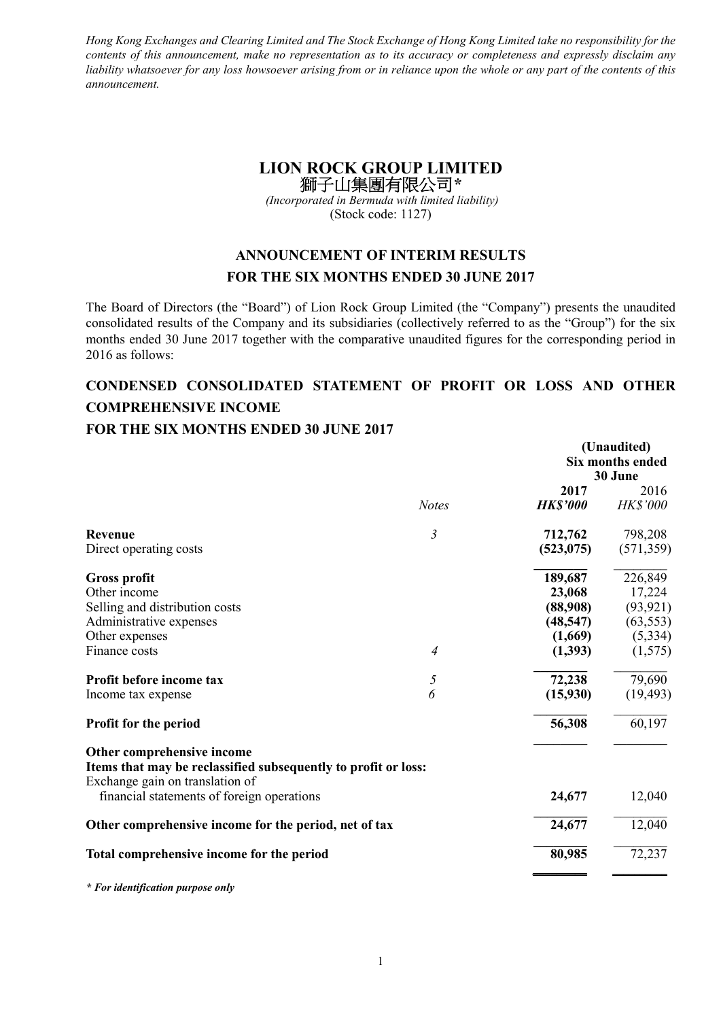*Hong Kong Exchanges and Clearing Limited and The Stock Exchange of Hong Kong Limited take no responsibility for the contents of this announcement, make no representation as to its accuracy or completeness and expressly disclaim any liability whatsoever for any loss howsoever arising from or in reliance upon the whole or any part of the contents of this announcement.* 

# **LION ROCK GROUP LIMITED**  獅子山集團有限公司*\**

 *(Incorporated in Bermuda with limited liability)*  (Stock code: 1127)

# **ANNOUNCEMENT OF INTERIM RESULTS FOR THE SIX MONTHS ENDED 30 JUNE 2017**

The Board of Directors (the "Board") of Lion Rock Group Limited (the "Company") presents the unaudited consolidated results of the Company and its subsidiaries (collectively referred to as the "Group") for the six months ended 30 June 2017 together with the comparative unaudited figures for the corresponding period in 2016 as follows:

# **CONDENSED CONSOLIDATED STATEMENT OF PROFIT OR LOSS AND OTHER COMPREHENSIVE INCOME**

### **FOR THE SIX MONTHS ENDED 30 JUNE 2017**

|                                                                                                                                 |                | (Unaudited)     |                         |  |
|---------------------------------------------------------------------------------------------------------------------------------|----------------|-----------------|-------------------------|--|
|                                                                                                                                 |                |                 | <b>Six months ended</b> |  |
|                                                                                                                                 |                |                 | 30 June                 |  |
|                                                                                                                                 |                | 2017            | 2016                    |  |
|                                                                                                                                 | <b>Notes</b>   | <b>HK\$'000</b> | <b>HK\$'000</b>         |  |
| Revenue                                                                                                                         | $\mathfrak{Z}$ | 712,762         | 798,208                 |  |
| Direct operating costs                                                                                                          |                | (523, 075)      | (571, 359)              |  |
| <b>Gross profit</b>                                                                                                             |                | 189,687         | 226,849                 |  |
| Other income                                                                                                                    |                | 23,068          | 17,224                  |  |
| Selling and distribution costs                                                                                                  |                | (88,908)        | (93, 921)               |  |
| Administrative expenses                                                                                                         |                | (48, 547)       | (63, 553)               |  |
| Other expenses                                                                                                                  |                | (1,669)         | (5,334)                 |  |
| Finance costs                                                                                                                   | $\overline{4}$ | (1, 393)        | (1,575)                 |  |
| Profit before income tax                                                                                                        | 5              | 72,238          | 79,690                  |  |
| Income tax expense                                                                                                              | 6              | (15,930)        | (19, 493)               |  |
| Profit for the period                                                                                                           |                | 56,308          | 60,197                  |  |
| Other comprehensive income<br>Items that may be reclassified subsequently to profit or loss:<br>Exchange gain on translation of |                |                 |                         |  |
| financial statements of foreign operations                                                                                      |                | 24,677          | 12,040                  |  |
| Other comprehensive income for the period, net of tax                                                                           |                | 24,677          | 12,040                  |  |
| Total comprehensive income for the period                                                                                       |                | 80,985          | 72,237                  |  |
| * For identification purpose only                                                                                               |                |                 |                         |  |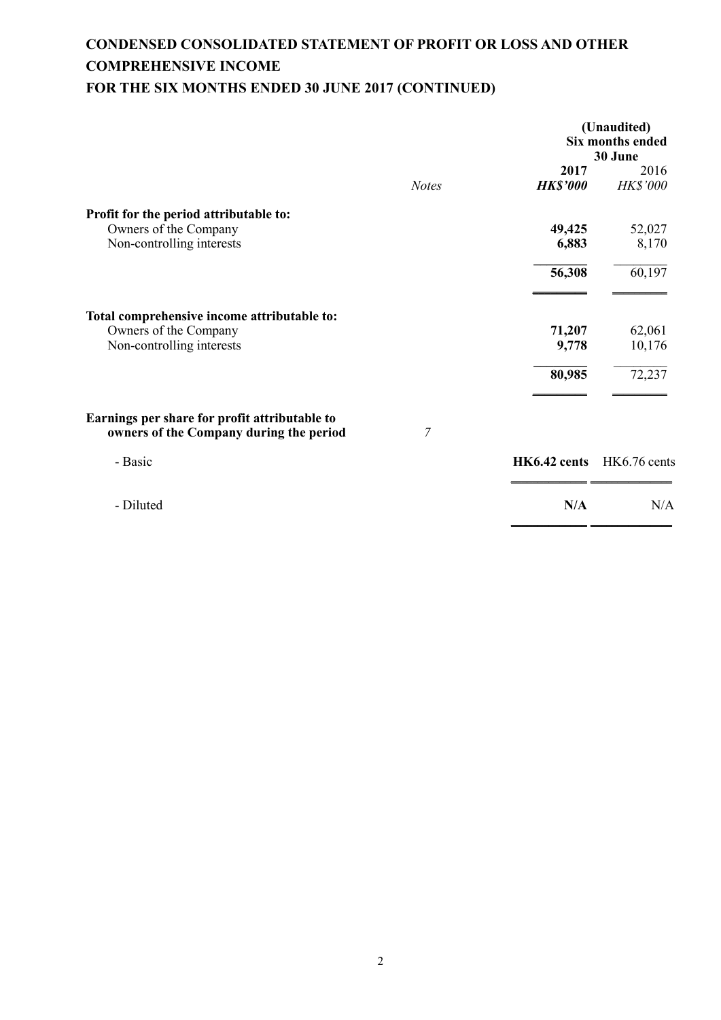# **CONDENSED CONSOLIDATED STATEMENT OF PROFIT OR LOSS AND OTHER COMPREHENSIVE INCOME FOR THE SIX MONTHS ENDED 30 JUNE 2017 (CONTINUED)**

|                                                                                          |              |                         | (Unaudited)<br>Six months ended<br>30 June |
|------------------------------------------------------------------------------------------|--------------|-------------------------|--------------------------------------------|
|                                                                                          | <b>Notes</b> | 2017<br><b>HK\$'000</b> | 2016<br>HK\$'000                           |
| Profit for the period attributable to:                                                   |              |                         |                                            |
| Owners of the Company                                                                    |              | 49,425                  | 52,027                                     |
| Non-controlling interests                                                                |              | 6,883                   | 8,170                                      |
|                                                                                          |              | 56,308                  | 60,197                                     |
|                                                                                          |              |                         |                                            |
| Total comprehensive income attributable to:                                              |              |                         |                                            |
| Owners of the Company                                                                    |              | 71,207                  | 62,061                                     |
| Non-controlling interests                                                                |              | 9,778                   | 10,176                                     |
|                                                                                          |              | 80,985                  | 72,237                                     |
|                                                                                          |              |                         |                                            |
| Earnings per share for profit attributable to<br>owners of the Company during the period | 7            |                         |                                            |
| - Basic                                                                                  |              | HK6.42 cents            | HK6.76 cents                               |
| - Diluted                                                                                |              | N/A                     | N/A                                        |
|                                                                                          |              |                         |                                            |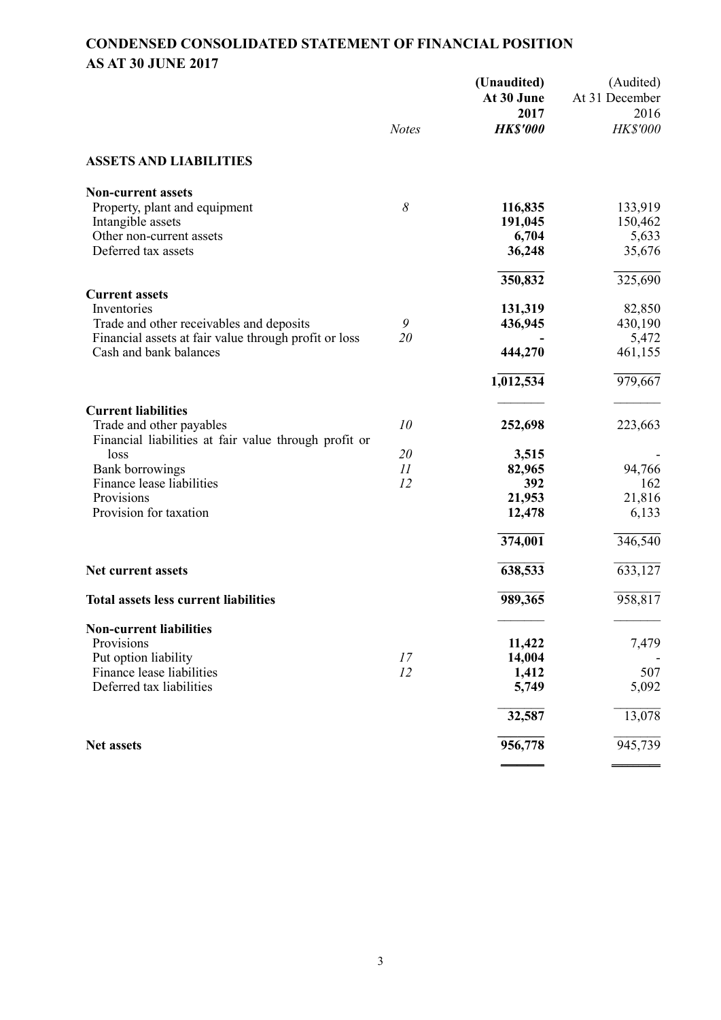# **CONDENSED CONSOLIDATED STATEMENT OF FINANCIAL POSITION AS AT 30 JUNE 2017**

|                                                       |              | (Unaudited)<br>At 30 June<br>2017 | (Audited)<br>At 31 December<br>2016 |
|-------------------------------------------------------|--------------|-----------------------------------|-------------------------------------|
|                                                       | <b>Notes</b> | <b>HK\$'000</b>                   | HK\$'000                            |
| <b>ASSETS AND LIABILITIES</b>                         |              |                                   |                                     |
| <b>Non-current assets</b>                             |              |                                   |                                     |
| Property, plant and equipment                         | 8            | 116,835                           | 133,919                             |
| Intangible assets                                     |              | 191,045                           | 150,462                             |
| Other non-current assets                              |              | 6,704                             | 5,633                               |
| Deferred tax assets                                   |              | 36,248                            | 35,676                              |
|                                                       |              | 350,832                           | 325,690                             |
| <b>Current assets</b>                                 |              |                                   |                                     |
| Inventories                                           |              | 131,319                           | 82,850                              |
| Trade and other receivables and deposits              | 9            | 436,945                           | 430,190                             |
| Financial assets at fair value through profit or loss | 20           |                                   | 5,472                               |
| Cash and bank balances                                |              | 444,270                           | 461,155                             |
|                                                       |              | $1,\overline{012,534}$            | 979,667                             |
| <b>Current liabilities</b>                            |              |                                   |                                     |
| Trade and other payables                              | 10           | 252,698                           | 223,663                             |
| Financial liabilities at fair value through profit or |              |                                   |                                     |
| loss                                                  | 20           | 3,515                             |                                     |
| <b>Bank borrowings</b>                                | II           | 82,965                            | 94,766                              |
| Finance lease liabilities                             | 12           | 392                               | 162                                 |
| Provisions                                            |              | 21,953                            | 21,816                              |
| Provision for taxation                                |              | 12,478                            | 6,133                               |
|                                                       |              | 374,001                           | 346,540                             |
| Net current assets                                    |              | 638,533                           | 633,127                             |
| <b>Total assets less current liabilities</b>          |              | 989,365                           | 958,817                             |
| <b>Non-current liabilities</b>                        |              |                                   |                                     |
| Provisions                                            |              | 11,422                            | 7,479                               |
| Put option liability                                  | 17           | 14,004                            |                                     |
| Finance lease liabilities                             | 12           | 1,412                             | 507                                 |
| Deferred tax liabilities                              |              | 5,749                             | 5,092                               |
|                                                       |              | 32,587                            | 13,078                              |
| <b>Net assets</b>                                     |              | 956,778                           | 945,739                             |
|                                                       |              |                                   |                                     |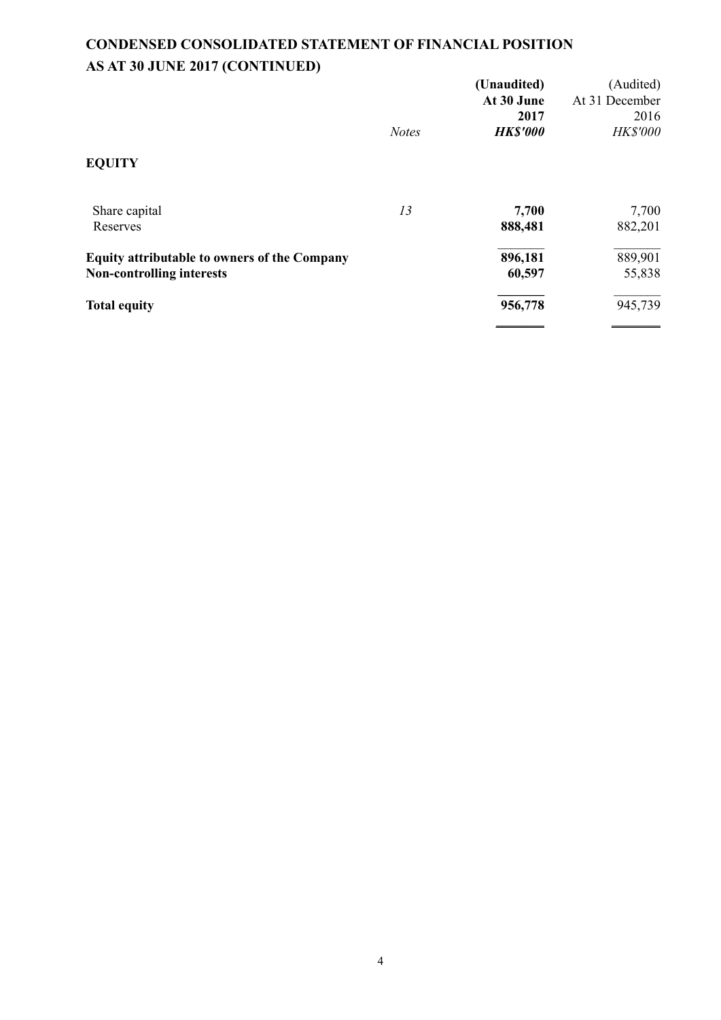# **CONDENSED CONSOLIDATED STATEMENT OF FINANCIAL POSITION AS AT 30 JUNE 2017 (CONTINUED)**

|                                                     |              | (Unaudited)<br>At 30 June | (Audited)<br>At 31 December |
|-----------------------------------------------------|--------------|---------------------------|-----------------------------|
|                                                     | <b>Notes</b> | 2017<br><b>HK\$'000</b>   | 2016<br>HK\$'000            |
| <b>EQUITY</b>                                       |              |                           |                             |
| Share capital                                       | 13           | 7,700                     | 7,700                       |
| Reserves                                            |              | 888,481                   | 882,201                     |
| <b>Equity attributable to owners of the Company</b> |              | 896,181                   | 889,901                     |
| <b>Non-controlling interests</b>                    |              | 60,597                    | 55,838                      |
| <b>Total equity</b>                                 |              | 956,778                   | 945,739                     |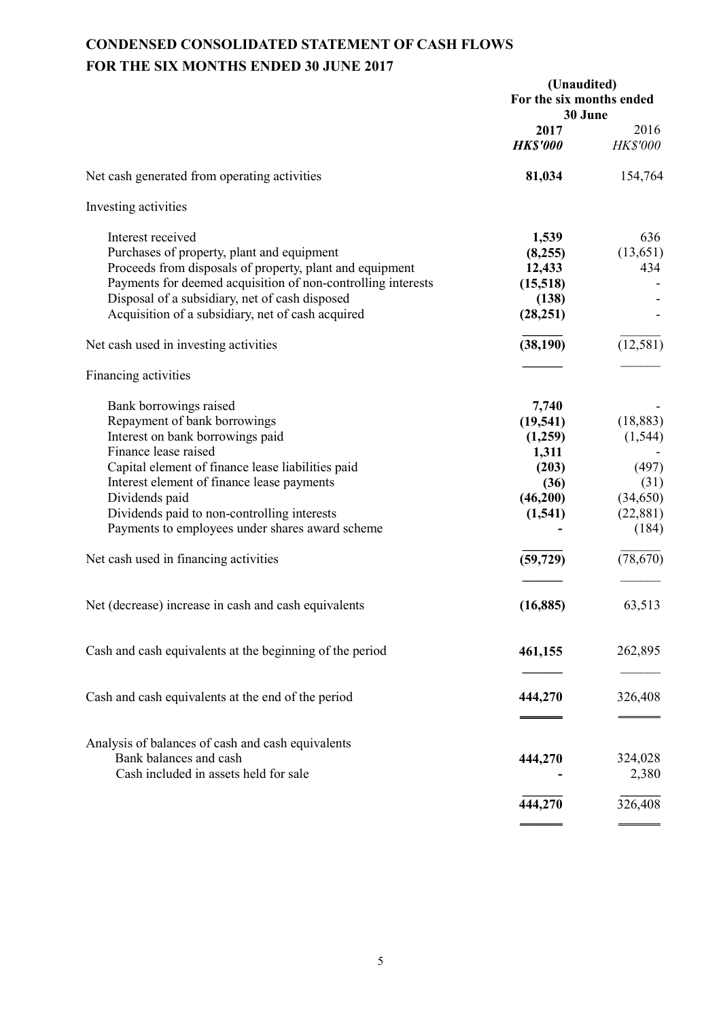# **CONDENSED CONSOLIDATED STATEMENT OF CASH FLOWS FOR THE SIX MONTHS ENDED 30 JUNE 2017**

|                                                                                                                                                                                                                                                                                                                                                                                    | (Unaudited)<br>For the six months ended<br>30 June                                           |                                                                                        |  |
|------------------------------------------------------------------------------------------------------------------------------------------------------------------------------------------------------------------------------------------------------------------------------------------------------------------------------------------------------------------------------------|----------------------------------------------------------------------------------------------|----------------------------------------------------------------------------------------|--|
|                                                                                                                                                                                                                                                                                                                                                                                    | 2017<br><b>HK\$'000</b>                                                                      | 2016<br><b>HK\$'000</b>                                                                |  |
| Net cash generated from operating activities                                                                                                                                                                                                                                                                                                                                       | 81,034                                                                                       | 154,764                                                                                |  |
| Investing activities                                                                                                                                                                                                                                                                                                                                                               |                                                                                              |                                                                                        |  |
| Interest received<br>Purchases of property, plant and equipment<br>Proceeds from disposals of property, plant and equipment<br>Payments for deemed acquisition of non-controlling interests<br>Disposal of a subsidiary, net of cash disposed<br>Acquisition of a subsidiary, net of cash acquired                                                                                 | 1,539<br>(8,255)<br>12,433<br>(15,518)<br>(138)<br>(28, 251)                                 | 636<br>(13, 651)<br>434                                                                |  |
| Net cash used in investing activities                                                                                                                                                                                                                                                                                                                                              | (38, 190)                                                                                    | (12, 581)                                                                              |  |
| Financing activities                                                                                                                                                                                                                                                                                                                                                               |                                                                                              |                                                                                        |  |
| Bank borrowings raised<br>Repayment of bank borrowings<br>Interest on bank borrowings paid<br>Finance lease raised<br>Capital element of finance lease liabilities paid<br>Interest element of finance lease payments<br>Dividends paid<br>Dividends paid to non-controlling interests<br>Payments to employees under shares award scheme<br>Net cash used in financing activities | 7,740<br>(19, 541)<br>(1,259)<br>1,311<br>(203)<br>(36)<br>(46,200)<br>(1, 541)<br>(59, 729) | (18, 883)<br>(1, 544)<br>(497)<br>(31)<br>(34, 650)<br>(22, 881)<br>(184)<br>(78, 670) |  |
| Net (decrease) increase in cash and cash equivalents                                                                                                                                                                                                                                                                                                                               | (16, 885)                                                                                    | 63,513                                                                                 |  |
| Cash and cash equivalents at the beginning of the period                                                                                                                                                                                                                                                                                                                           | 461,155                                                                                      | 262,895                                                                                |  |
| Cash and cash equivalents at the end of the period                                                                                                                                                                                                                                                                                                                                 | 444,270                                                                                      | 326,408                                                                                |  |
| Analysis of balances of cash and cash equivalents<br>Bank balances and cash<br>Cash included in assets held for sale                                                                                                                                                                                                                                                               | 444,270                                                                                      | 324,028<br>2,380                                                                       |  |
|                                                                                                                                                                                                                                                                                                                                                                                    | 444,270                                                                                      | 326,408                                                                                |  |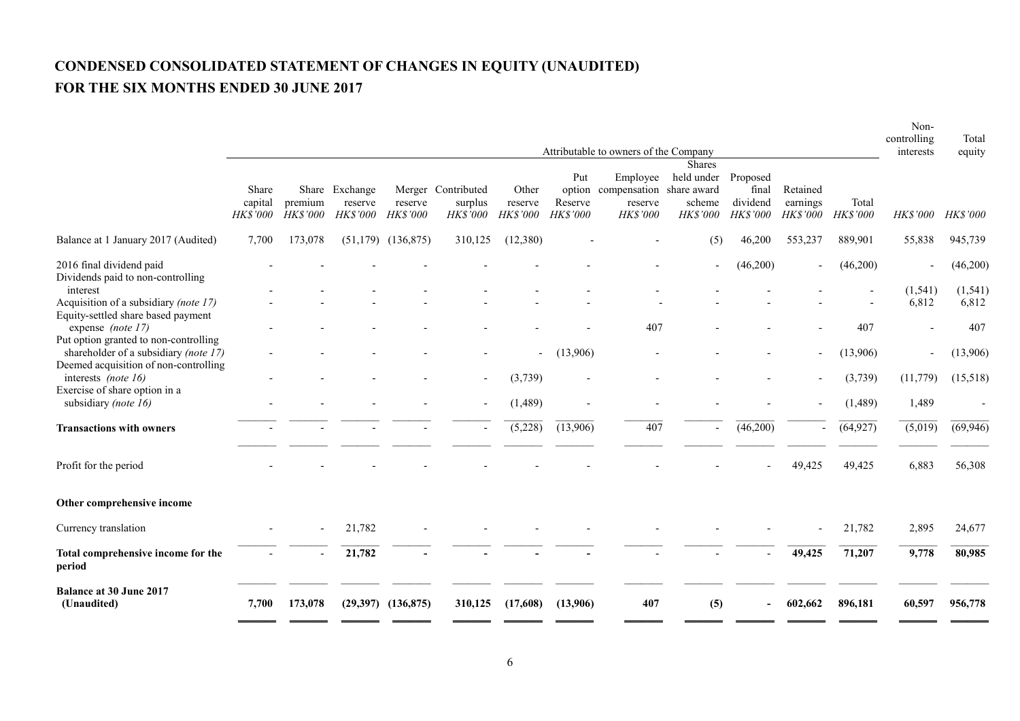# **CONDENSED CONSOLIDATED STATEMENT OF CHANGES IN EQUITY (UNAUDITED) FOR THE SIX MONTHS ENDED 30 JUNE 2017**

|                                                                                                            | Attributable to owners of the Company |                     |                                       |                        |                                                  |                                | Non-<br>controlling<br>interests     | Total<br>equity                                             |                                                   |                                                  |                                         |                   |                   |                   |
|------------------------------------------------------------------------------------------------------------|---------------------------------------|---------------------|---------------------------------------|------------------------|--------------------------------------------------|--------------------------------|--------------------------------------|-------------------------------------------------------------|---------------------------------------------------|--------------------------------------------------|-----------------------------------------|-------------------|-------------------|-------------------|
|                                                                                                            | Share<br>capital<br><b>HK\$'000</b>   | premium<br>HK\$'000 | Share Exchange<br>reserve<br>HK\$'000 | reserve<br>HK\$'000    | Merger Contributed<br>surplus<br><b>HK\$'000</b> | Other<br>reserve<br>$HK\$ '000 | Put<br>option<br>Reserve<br>HK\$'000 | Employee<br>compensation share award<br>reserve<br>HK\$'000 | <b>Shares</b><br>held under<br>scheme<br>HK\$'000 | Proposed<br>final<br>dividend<br><b>HK\$'000</b> | Retained<br>earnings<br><b>HK\$'000</b> | Total<br>HK\$'000 | <b>HK\$'000</b>   | <b>HK\$'000</b>   |
| Balance at 1 January 2017 (Audited)                                                                        | 7,700                                 | 173,078             |                                       | $(51,179)$ $(136,875)$ | 310,125                                          | (12,380)                       |                                      |                                                             | (5)                                               | 46,200                                           | 553,237                                 | 889,901           | 55,838            | 945,739           |
| 2016 final dividend paid<br>Dividends paid to non-controlling                                              |                                       |                     |                                       |                        |                                                  |                                |                                      |                                                             |                                                   | (46,200)                                         |                                         | (46,200)          |                   | (46,200)          |
| interest<br>Acquisition of a subsidiary (note 17)<br>Equity-settled share based payment                    |                                       |                     |                                       |                        |                                                  |                                |                                      |                                                             |                                                   |                                                  |                                         |                   | (1, 541)<br>6,812 | (1, 541)<br>6,812 |
| expense <i>(note 17)</i><br>Put option granted to non-controlling<br>shareholder of a subsidiary (note 17) |                                       |                     |                                       |                        |                                                  | $\sim$                         | (13,906)                             | 407                                                         |                                                   |                                                  | $\blacksquare$                          | 407<br>(13,906)   |                   | 407<br>(13,906)   |
| Deemed acquisition of non-controlling<br>interests (note 16)<br>Exercise of share option in a              |                                       |                     |                                       |                        | $\overline{\phantom{a}}$                         | (3,739)                        |                                      |                                                             |                                                   |                                                  | $\overline{\phantom{a}}$                | (3,739)           | (11, 779)         | (15,518)          |
| subsidiary (note 16)                                                                                       |                                       |                     |                                       |                        | $\blacksquare$                                   | (1, 489)                       |                                      |                                                             |                                                   |                                                  |                                         | (1,489)           | 1,489             |                   |
| <b>Transactions with owners</b>                                                                            |                                       |                     |                                       |                        | $\overline{\phantom{a}}$                         | (5,228)                        | (13,906)                             | 407                                                         | $\blacksquare$                                    | (46,200)                                         |                                         | (64, 927)         | (5,019)           | (69, 946)         |
| Profit for the period                                                                                      |                                       |                     |                                       |                        |                                                  |                                |                                      |                                                             |                                                   |                                                  | 49,425                                  | 49,425            | 6,883             | 56,308            |
| Other comprehensive income                                                                                 |                                       |                     |                                       |                        |                                                  |                                |                                      |                                                             |                                                   |                                                  |                                         |                   |                   |                   |
| Currency translation                                                                                       |                                       |                     | 21,782                                |                        |                                                  |                                |                                      |                                                             |                                                   |                                                  |                                         | 21,782            | 2,895             | 24,677            |
| Total comprehensive income for the<br>period                                                               |                                       |                     | 21,782                                |                        |                                                  |                                |                                      |                                                             |                                                   |                                                  | 49,425                                  | 71,207            | 9,778             | 80,985            |
| <b>Balance at 30 June 2017</b><br>(Unaudited)                                                              | 7,700                                 | 173,078             |                                       | $(29,397)$ $(136,875)$ | 310,125                                          | (17,608)                       | (13,906)                             | 407                                                         | (5)                                               | $\blacksquare$                                   | 602,662                                 | 896,181           | 60,597            | 956,778           |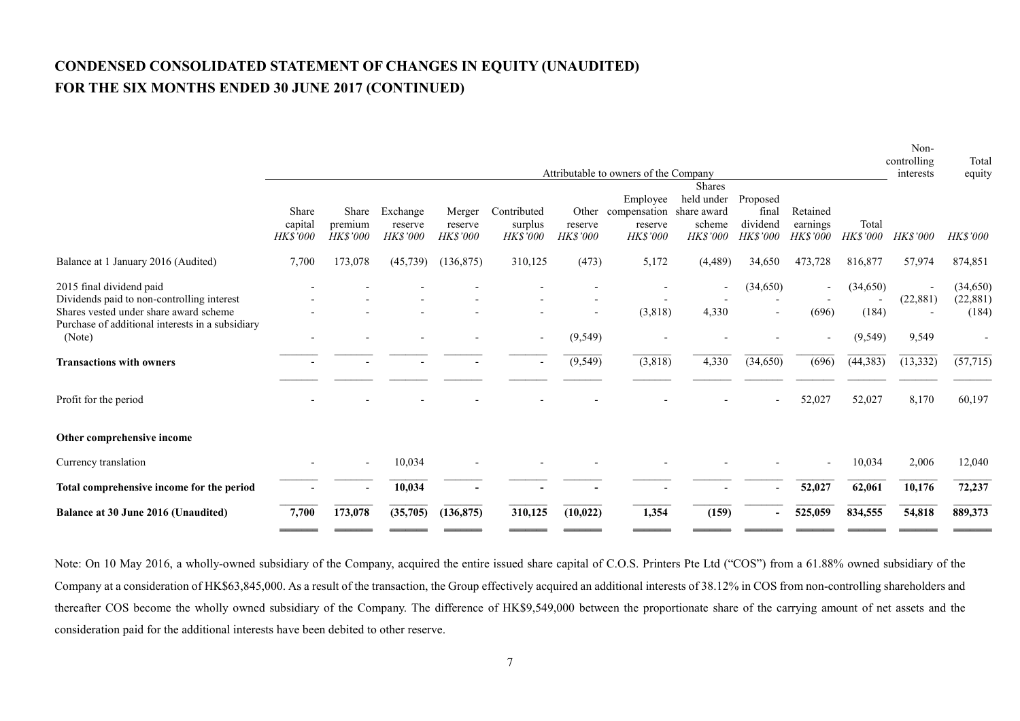# **CONDENSED CONSOLIDATED STATEMENT OF CHANGES IN EQUITY (UNAUDITED) FOR THE SIX MONTHS ENDED 30 JUNE 2017 (CONTINUED)**

|                                                                                                                                                                      |                              |                              |                                 |                               |                                    |                     | Attributable to owners of the Company                             |                                                   |                                           |                                         |                   | Non-<br>controlling<br>interests | Total<br>equity                 |
|----------------------------------------------------------------------------------------------------------------------------------------------------------------------|------------------------------|------------------------------|---------------------------------|-------------------------------|------------------------------------|---------------------|-------------------------------------------------------------------|---------------------------------------------------|-------------------------------------------|-----------------------------------------|-------------------|----------------------------------|---------------------------------|
|                                                                                                                                                                      | Share<br>capital<br>HK\$'000 | Share<br>premium<br>HK\$'000 | Exchange<br>reserve<br>HK\$'000 | Merger<br>reserve<br>HK\$'000 | Contributed<br>surplus<br>HK\$'000 | reserve<br>HK\$'000 | Employee<br>Other compensation share award<br>reserve<br>HK\$'000 | <b>Shares</b><br>held under<br>scheme<br>HK\$'000 | Proposed<br>final<br>dividend<br>HK\$'000 | Retained<br>earnings<br><b>HK\$'000</b> | Total<br>HK\$'000 | <b>HK\$'000</b>                  | <b>HK\$'000</b>                 |
| Balance at 1 January 2016 (Audited)                                                                                                                                  | 7,700                        | 173,078                      | (45, 739)                       | (136, 875)                    | 310,125                            | (473)               | 5,172                                                             | (4, 489)                                          | 34,650                                    | 473,728                                 | 816,877           | 57,974                           | 874,851                         |
| 2015 final dividend paid<br>Dividends paid to non-controlling interest<br>Shares vested under share award scheme<br>Purchase of additional interests in a subsidiary |                              |                              |                                 |                               |                                    |                     | (3,818)                                                           | 4,330                                             | (34,650)                                  | (696)                                   | (34,650)<br>(184) | (22, 881)                        | (34, 650)<br>(22, 881)<br>(184) |
| (Note)                                                                                                                                                               |                              |                              |                                 |                               | $\overline{\phantom{a}}$           | (9, 549)            |                                                                   |                                                   |                                           |                                         | (9, 549)          | 9,549                            |                                 |
| <b>Transactions with owners</b>                                                                                                                                      |                              |                              |                                 |                               |                                    | (9, 549)            | (3,818)                                                           | 4,330                                             | (34, 650)                                 | (696)                                   | (44, 383)         | (13, 332)                        | (57, 715)                       |
| Profit for the period                                                                                                                                                |                              |                              |                                 |                               |                                    |                     |                                                                   |                                                   |                                           | 52,027                                  | 52,027            | 8,170                            | 60,197                          |
| Other comprehensive income                                                                                                                                           |                              |                              |                                 |                               |                                    |                     |                                                                   |                                                   |                                           |                                         |                   |                                  |                                 |
| Currency translation                                                                                                                                                 |                              |                              | 10,034                          |                               |                                    |                     |                                                                   |                                                   |                                           |                                         | 10,034            | 2,006                            | 12,040                          |
| Total comprehensive income for the period                                                                                                                            |                              |                              | 10,034                          |                               |                                    |                     |                                                                   |                                                   |                                           | 52,027                                  | 62,061            | 10,176                           | 72,237                          |
| Balance at 30 June 2016 (Unaudited)                                                                                                                                  | 7,700                        | 173,078                      | (35,705)                        | (136, 875)                    | 310,125                            | (10, 022)           | 1,354                                                             | (159)                                             |                                           | 525,059                                 | 834,555           | 54,818                           | 889,373                         |

Note: On 10 May 2016, a wholly-owned subsidiary of the Company, acquired the entire issued share capital of C.O.S. Printers Pte Ltd ("COS") from a 61.88% owned subsidiary of the Company at a consideration of HK\$63,845,000. As a result of the transaction, the Group effectively acquired an additional interests of 38.12% in COS from non-controlling shareholders and thereafter COS become the wholly owned subsidiary of the Company. The difference of HK\$9,549,000 between the proportionate share of the carrying amount of net assets and the consideration paid for the additional interests have been debited to other reserve.

\_\_\_\_\_\_\_ \_\_\_\_\_\_\_ \_\_\_\_\_\_\_ \_\_\_\_\_\_\_ \_\_\_\_\_\_\_ \_\_\_\_\_\_\_ \_\_\_\_\_\_\_ \_\_\_\_\_\_\_ \_\_\_\_\_\_\_ \_\_\_\_\_\_\_ \_\_\_\_\_\_\_ \_\_\_\_\_\_\_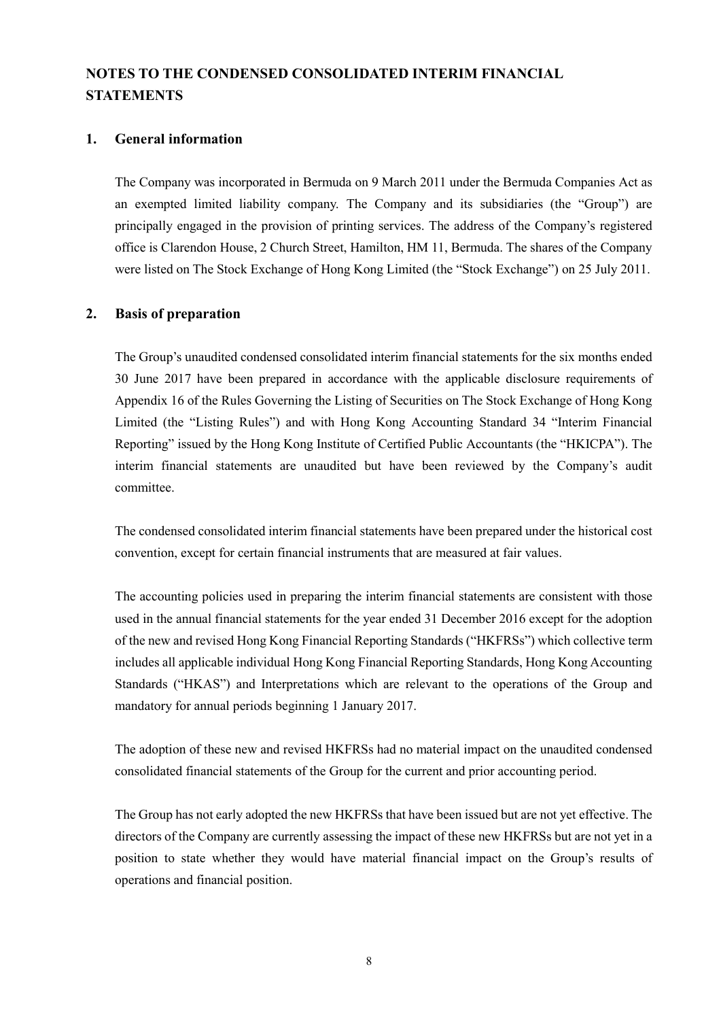# **NOTES TO THE CONDENSED CONSOLIDATED INTERIM FINANCIAL STATEMENTS**

#### **1. General information**

The Company was incorporated in Bermuda on 9 March 2011 under the Bermuda Companies Act as an exempted limited liability company. The Company and its subsidiaries (the "Group") are principally engaged in the provision of printing services. The address of the Company's registered office is Clarendon House, 2 Church Street, Hamilton, HM 11, Bermuda. The shares of the Company were listed on The Stock Exchange of Hong Kong Limited (the "Stock Exchange") on 25 July 2011.

### **2. Basis of preparation**

The Group's unaudited condensed consolidated interim financial statements for the six months ended 30 June 2017 have been prepared in accordance with the applicable disclosure requirements of Appendix 16 of the Rules Governing the Listing of Securities on The Stock Exchange of Hong Kong Limited (the "Listing Rules") and with Hong Kong Accounting Standard 34 "Interim Financial Reporting" issued by the Hong Kong Institute of Certified Public Accountants (the "HKICPA"). The interim financial statements are unaudited but have been reviewed by the Company's audit committee.

The condensed consolidated interim financial statements have been prepared under the historical cost convention, except for certain financial instruments that are measured at fair values.

The accounting policies used in preparing the interim financial statements are consistent with those used in the annual financial statements for the year ended 31 December 2016 except for the adoption of the new and revised Hong Kong Financial Reporting Standards ("HKFRSs") which collective term includes all applicable individual Hong Kong Financial Reporting Standards, Hong Kong Accounting Standards ("HKAS") and Interpretations which are relevant to the operations of the Group and mandatory for annual periods beginning 1 January 2017.

The adoption of these new and revised HKFRSs had no material impact on the unaudited condensed consolidated financial statements of the Group for the current and prior accounting period.

The Group has not early adopted the new HKFRSs that have been issued but are not yet effective. The directors of the Company are currently assessing the impact of these new HKFRSs but are not yet in a position to state whether they would have material financial impact on the Group's results of operations and financial position.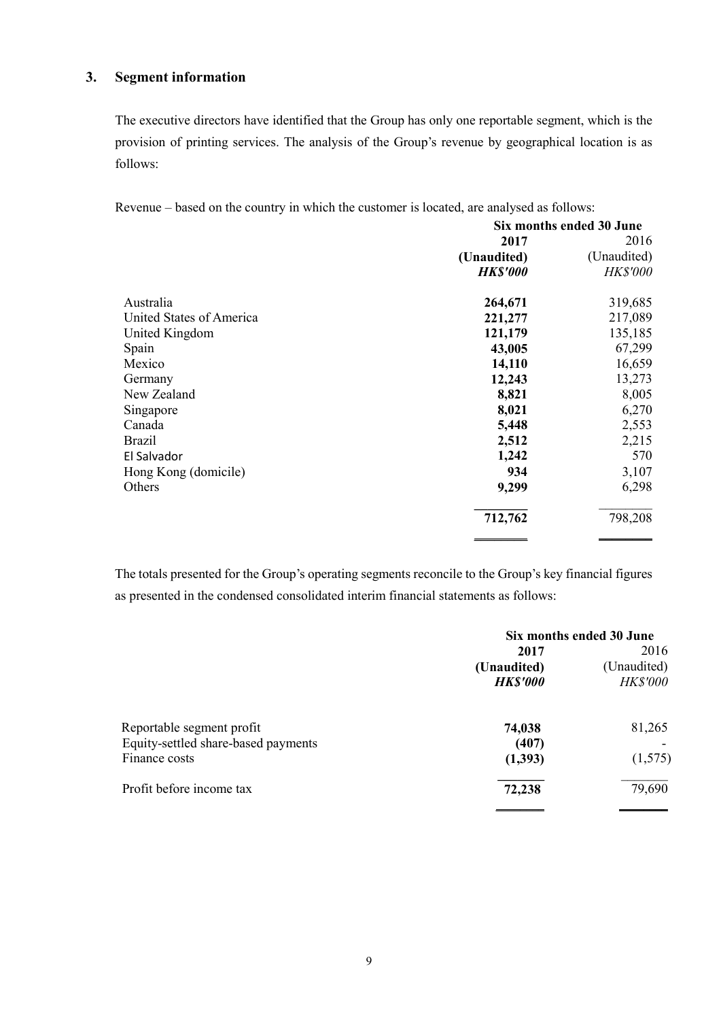# **3. Segment information**

The executive directors have identified that the Group has only one reportable segment, which is the provision of printing services. The analysis of the Group's revenue by geographical location is as follows:

Revenue – based on the country in which the customer is located, are analysed as follows:

|                          | Six months ended 30 June |             |  |
|--------------------------|--------------------------|-------------|--|
|                          | 2017                     | 2016        |  |
|                          | (Unaudited)              | (Unaudited) |  |
|                          | <b>HK\$'000</b>          | HK\$'000    |  |
| Australia                | 264,671                  | 319,685     |  |
| United States of America | 221,277                  | 217,089     |  |
| United Kingdom           | 121,179                  | 135,185     |  |
| Spain                    | 43,005                   | 67,299      |  |
| Mexico                   | 14,110                   | 16,659      |  |
| Germany                  | 12,243                   | 13,273      |  |
| New Zealand              | 8,821                    | 8,005       |  |
| Singapore                | 8,021                    | 6,270       |  |
| Canada                   | 5,448                    | 2,553       |  |
| <b>Brazil</b>            | 2,512                    | 2,215       |  |
| El Salvador              | 1,242                    | 570         |  |
| Hong Kong (domicile)     | 934                      | 3,107       |  |
| Others                   | 9,299                    | 6,298       |  |
|                          | 712,762                  | 798,208     |  |
|                          |                          |             |  |

The totals presented for the Group's operating segments reconcile to the Group's key financial figures as presented in the condensed consolidated interim financial statements as follows:

| Six months ended 30 June |                 |  |  |
|--------------------------|-----------------|--|--|
| 2017                     | 2016            |  |  |
| (Unaudited)              | (Unaudited)     |  |  |
| <b>HK\$'000</b>          | <b>HK\$'000</b> |  |  |
| 74,038                   | 81,265          |  |  |
| (407)                    |                 |  |  |
| (1,393)                  | (1,575)         |  |  |
| 72,238                   | 79,690          |  |  |
|                          |                 |  |  |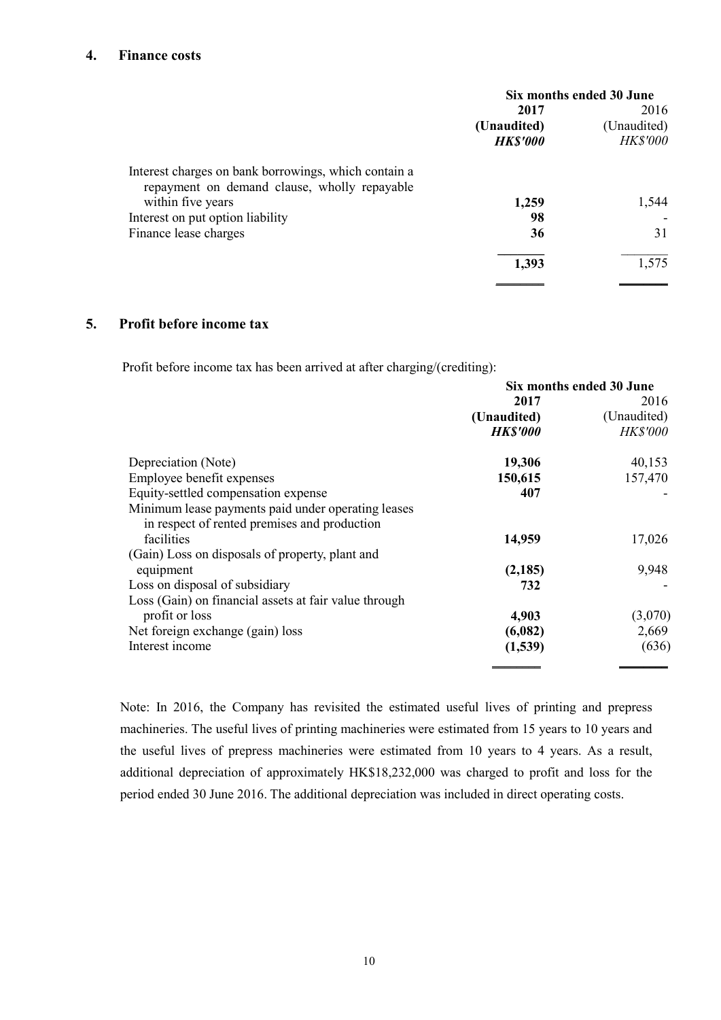### **4. Finance costs**

| 2016                           |
|--------------------------------|
|                                |
| (Unaudited)<br><b>HK\$'000</b> |
|                                |
| 1,544                          |
|                                |
| 31                             |
| 1,575                          |
|                                |

#### **5. Profit before income tax**

Profit before income tax has been arrived at after charging/(crediting):

|                                                                                                    | Six months ended 30 June |                 |  |  |
|----------------------------------------------------------------------------------------------------|--------------------------|-----------------|--|--|
|                                                                                                    | 2017                     | 2016            |  |  |
|                                                                                                    | (Unaudited)              | (Unaudited)     |  |  |
|                                                                                                    | <b>HK\$'000</b>          | <b>HK\$'000</b> |  |  |
| Depreciation (Note)                                                                                | 19,306                   | 40,153          |  |  |
| Employee benefit expenses                                                                          | 150,615                  | 157,470         |  |  |
| Equity-settled compensation expense                                                                | 407                      |                 |  |  |
| Minimum lease payments paid under operating leases<br>in respect of rented premises and production |                          |                 |  |  |
| facilities                                                                                         | 14,959                   | 17,026          |  |  |
| (Gain) Loss on disposals of property, plant and                                                    |                          |                 |  |  |
| equipment                                                                                          | (2,185)                  | 9,948           |  |  |
| Loss on disposal of subsidiary                                                                     | 732                      |                 |  |  |
| Loss (Gain) on financial assets at fair value through                                              |                          |                 |  |  |
| profit or loss                                                                                     | 4,903                    | (3,070)         |  |  |
| Net foreign exchange (gain) loss                                                                   | (6,082)                  | 2,669           |  |  |
| Interest income                                                                                    | (1,539)                  | (636)           |  |  |

Note: In 2016, the Company has revisited the estimated useful lives of printing and prepress machineries. The useful lives of printing machineries were estimated from 15 years to 10 years and the useful lives of prepress machineries were estimated from 10 years to 4 years. As a result, additional depreciation of approximately HK\$18,232,000 was charged to profit and loss for the period ended 30 June 2016. The additional depreciation was included in direct operating costs.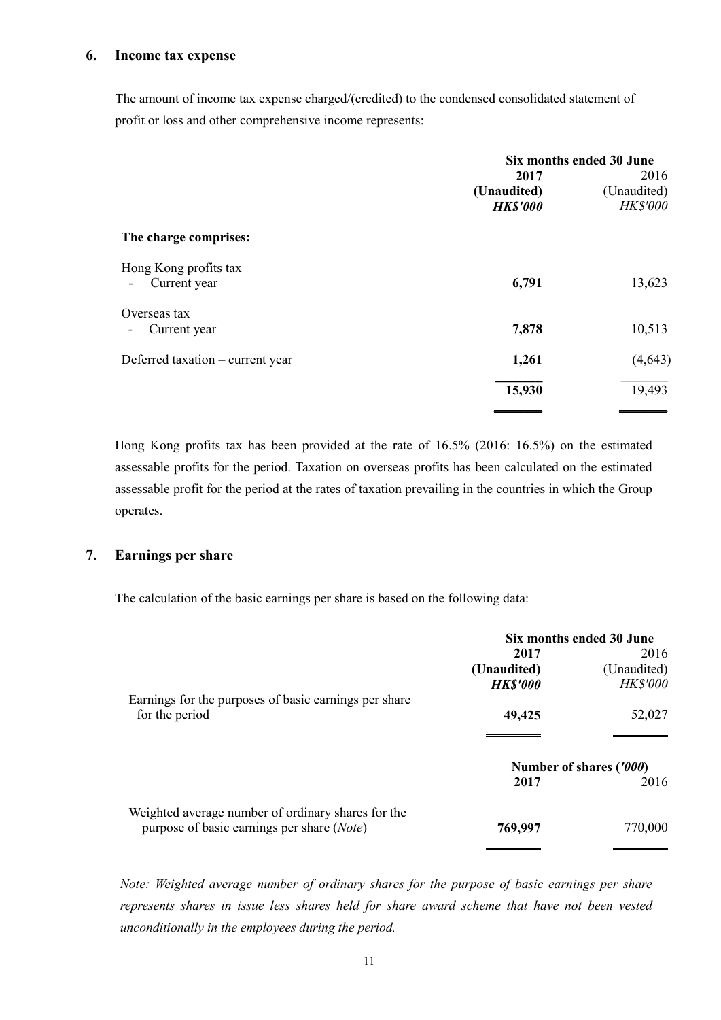The amount of income tax expense charged/(credited) to the condensed consolidated statement of profit or loss and other comprehensive income represents:

|                                       | Six months ended 30 June               |                                        |  |
|---------------------------------------|----------------------------------------|----------------------------------------|--|
|                                       | 2017<br>(Unaudited)<br><b>HK\$'000</b> | 2016<br>(Unaudited)<br><b>HK\$'000</b> |  |
| The charge comprises:                 |                                        |                                        |  |
| Hong Kong profits tax<br>Current year | 6,791                                  | 13,623                                 |  |
| Overseas tax<br>Current year<br>٠     | 7,878                                  | 10,513                                 |  |
| Deferred taxation – current year      | 1,261                                  | (4, 643)                               |  |
|                                       | 15,930                                 | 19,493                                 |  |

Hong Kong profits tax has been provided at the rate of 16.5% (2016: 16.5%) on the estimated assessable profits for the period. Taxation on overseas profits has been calculated on the estimated assessable profit for the period at the rates of taxation prevailing in the countries in which the Group operates.

### **7. Earnings per share**

The calculation of the basic earnings per share is based on the following data:

|                                                       | Six months ended 30 June |                         |
|-------------------------------------------------------|--------------------------|-------------------------|
|                                                       | 2017                     | 2016                    |
|                                                       | (Unaudited)              | (Unaudited)             |
|                                                       | <b>HK\$'000</b>          | <b>HK\$'000</b>         |
| Earnings for the purposes of basic earnings per share |                          |                         |
| for the period                                        | 49,425                   | 52,027                  |
|                                                       |                          |                         |
|                                                       |                          | Number of shares ('000) |
|                                                       | 2017                     | 2016                    |
| Weighted average number of ordinary shares for the    |                          |                         |
| purpose of basic earnings per share ( <i>Note</i> )   | 769,997                  | 770,000                 |
|                                                       |                          |                         |

*Note: Weighted average number of ordinary shares for the purpose of basic earnings per share represents shares in issue less shares held for share award scheme that have not been vested unconditionally in the employees during the period.*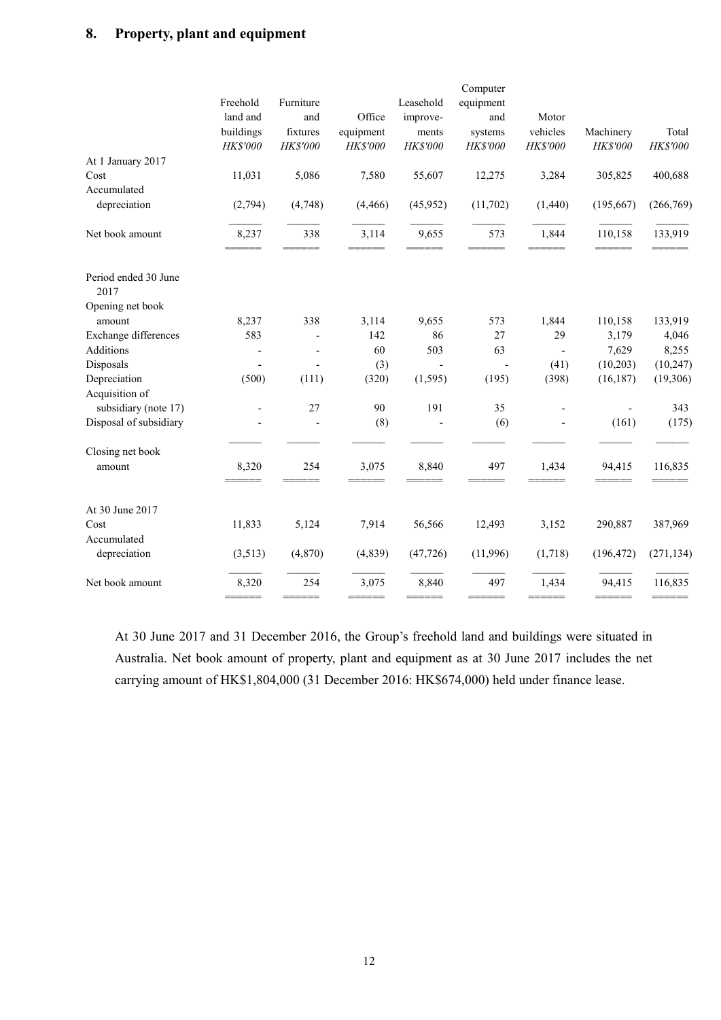# **8. Property, plant and equipment**

|                              | Freehold<br>land and<br>buildings<br>HK\$'000 | Furniture<br>and<br>fixtures<br>$HK\$ '000 | Office<br>equipment<br>HK\$'000 | Leasehold<br>improve-<br>ments<br>HK\$'000 | Computer<br>equipment<br>and<br>systems<br>HK\$'000 | Motor<br>vehicles<br>HK\$'000 | Machinery<br>HK\$'000    | Total<br>HK\$'000 |
|------------------------------|-----------------------------------------------|--------------------------------------------|---------------------------------|--------------------------------------------|-----------------------------------------------------|-------------------------------|--------------------------|-------------------|
| At 1 January 2017            |                                               |                                            |                                 |                                            |                                                     |                               |                          |                   |
| Cost                         | 11,031                                        | 5,086                                      | 7,580                           | 55,607                                     | 12,275                                              | 3,284                         | 305,825                  | 400,688           |
| Accumulated                  |                                               |                                            |                                 |                                            |                                                     |                               |                          |                   |
| depreciation                 | (2,794)                                       | (4,748)                                    | (4, 466)                        | (45, 952)                                  | (11,702)                                            | (1,440)                       | (195, 667)               | (266,769)         |
| Net book amount              | 8,237<br>======                               | 338<br>======                              | 3,114<br>======                 | 9,655<br>======                            | 573<br>====                                         | 1,844<br>======               | 110,158<br>======        | 133,919<br>====== |
| Period ended 30 June<br>2017 |                                               |                                            |                                 |                                            |                                                     |                               |                          |                   |
| Opening net book             |                                               |                                            |                                 |                                            |                                                     |                               |                          |                   |
| amount                       | 8,237                                         | 338                                        | 3,114                           | 9,655                                      | 573                                                 | 1,844                         | 110,158                  | 133,919           |
| Exchange differences         | 583                                           |                                            | 142                             | 86                                         | 27                                                  | 29                            | 3,179                    | 4,046             |
| Additions                    |                                               | $\overline{\phantom{a}}$                   | 60                              | 503                                        | 63                                                  | $\blacksquare$                | 7,629                    | 8,255             |
| Disposals                    |                                               |                                            | (3)                             | $\mathbf{r}$                               | $\overline{\phantom{a}}$                            | (41)                          | (10,203)                 | (10, 247)         |
| Depreciation                 | (500)                                         | (111)                                      | (320)                           | (1, 595)                                   | (195)                                               | (398)                         | (16, 187)                | (19,306)          |
| Acquisition of               |                                               |                                            |                                 |                                            |                                                     |                               |                          |                   |
| subsidiary (note 17)         |                                               | 27                                         | 90                              | 191                                        | 35                                                  |                               | $\overline{\phantom{a}}$ | 343               |
| Disposal of subsidiary       |                                               |                                            | (8)                             |                                            | (6)                                                 |                               | (161)                    | (175)             |
| Closing net book             |                                               |                                            |                                 |                                            |                                                     |                               |                          |                   |
| amount                       | 8,320<br>====                                 | 254<br>$=$                                 | 3,075<br>---                    | 8,840                                      | 497                                                 | 1,434                         | 94,415                   | 116,835           |
| At 30 June 2017              |                                               |                                            |                                 |                                            |                                                     |                               |                          |                   |
| Cost                         | 11,833                                        | 5,124                                      | 7,914                           | 56,566                                     | 12,493                                              | 3,152                         | 290,887                  | 387,969           |
| Accumulated                  |                                               |                                            |                                 |                                            |                                                     |                               |                          |                   |
| depreciation                 | (3, 513)                                      | (4, 870)                                   | (4, 839)                        | (47, 726)                                  | (11,996)                                            | (1,718)                       | (196, 472)               | (271, 134)        |
| Net book amount              | 8,320                                         | 254                                        | 3,075                           | 8,840                                      | 497                                                 | 1,434                         | 94,415                   | 116,835           |
|                              | ======                                        | ======                                     | ======                          |                                            | ======                                              | ======                        | ======                   |                   |

At 30 June 2017 and 31 December 2016, the Group's freehold land and buildings were situated in Australia. Net book amount of property, plant and equipment as at 30 June 2017 includes the net carrying amount of HK\$1,804,000 (31 December 2016: HK\$674,000) held under finance lease.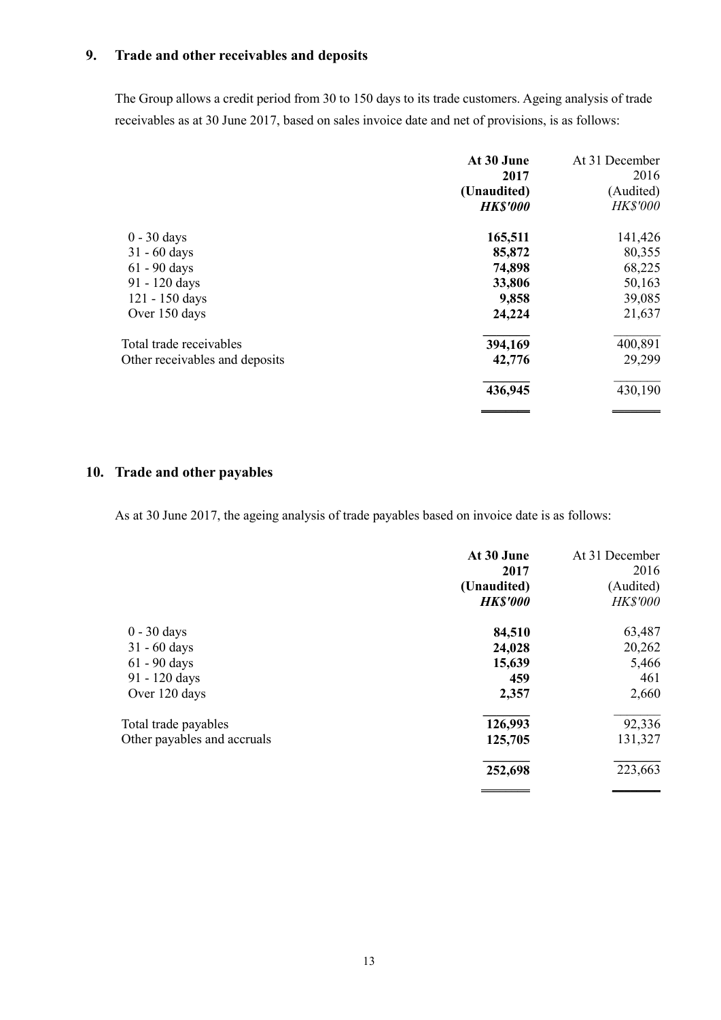# **9. Trade and other receivables and deposits**

The Group allows a credit period from 30 to 150 days to its trade customers. Ageing analysis of trade receivables as at 30 June 2017, based on sales invoice date and net of provisions, is as follows:

|                                | At 30 June<br>2017 | At 31 December<br>2016 |
|--------------------------------|--------------------|------------------------|
|                                | (Unaudited)        | (Audited)              |
|                                | <b>HK\$'000</b>    | <b>HK\$'000</b>        |
| $0 - 30$ days                  | 165,511            | 141,426                |
| $31 - 60$ days                 | 85,872             | 80,355                 |
| $61 - 90$ days                 | 74,898             | 68,225                 |
| 91 - 120 days                  | 33,806             | 50,163                 |
| 121 - 150 days                 | 9,858              | 39,085                 |
| Over 150 days                  | 24,224             | 21,637                 |
| Total trade receivables        | 394,169            | 400,891                |
| Other receivables and deposits | 42,776             | 29,299                 |
|                                | 436,945            | 430,190                |
|                                |                    |                        |

# **10. Trade and other payables**

As at 30 June 2017, the ageing analysis of trade payables based on invoice date is as follows:

|                             | At 30 June<br>2017<br>(Unaudited) | At 31 December<br>2016<br>(Audited) |
|-----------------------------|-----------------------------------|-------------------------------------|
|                             | <b>HK\$'000</b>                   | <b>HK\$'000</b>                     |
| $0 - 30$ days               | 84,510                            | 63,487                              |
| $31 - 60$ days              | 24,028                            | 20,262                              |
| $61 - 90$ days              | 15,639                            | 5,466                               |
| 91 - 120 days               | 459                               | 461                                 |
| Over 120 days               | 2,357                             | 2,660                               |
| Total trade payables        | 126,993                           | 92,336                              |
| Other payables and accruals | 125,705                           | 131,327                             |
|                             | 252,698                           | 223,663                             |
|                             |                                   |                                     |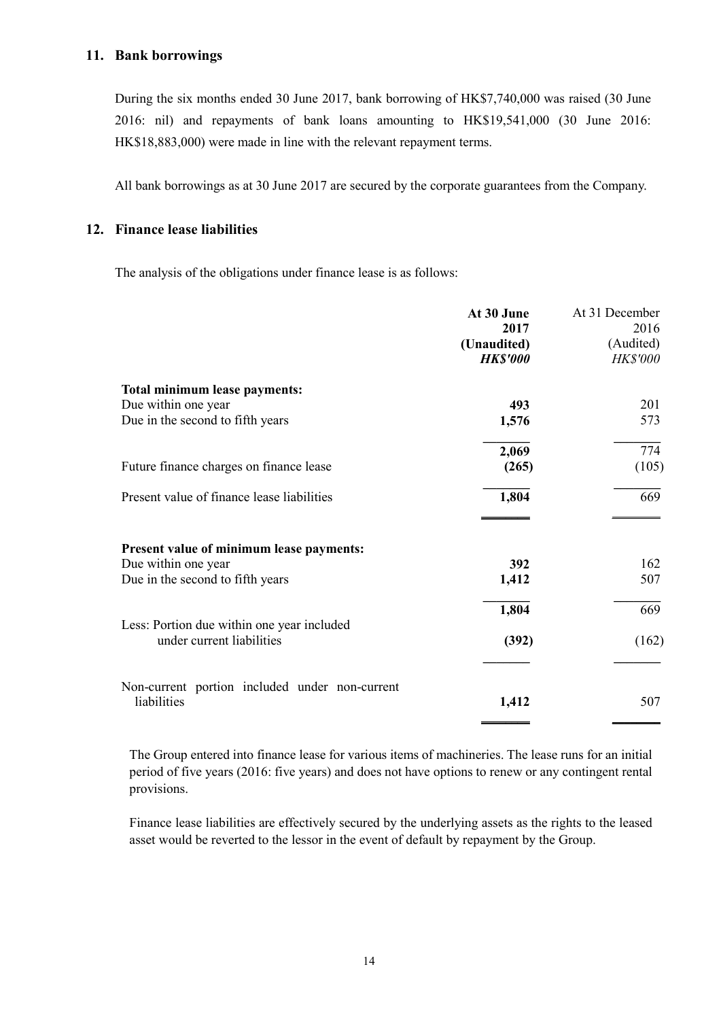#### **11. Bank borrowings**

During the six months ended 30 June 2017, bank borrowing of HK\$7,740,000 was raised (30 June 2016: nil) and repayments of bank loans amounting to HK\$19,541,000 (30 June 2016: HK\$18,883,000) were made in line with the relevant repayment terms.

All bank borrowings as at 30 June 2017 are secured by the corporate guarantees from the Company.

### **12. Finance lease liabilities**

The analysis of the obligations under finance lease is as follows:

|                                                | At 30 June<br>2017<br>(Unaudited)<br><b>HK\$'000</b> | At 31 December<br>2016<br>(Audited)<br><b>HK\$'000</b> |
|------------------------------------------------|------------------------------------------------------|--------------------------------------------------------|
| Total minimum lease payments:                  |                                                      |                                                        |
| Due within one year                            | 493                                                  | 201                                                    |
| Due in the second to fifth years               | 1,576                                                | 573                                                    |
|                                                | 2,069                                                | 774                                                    |
| Future finance charges on finance lease        | (265)                                                | (105)                                                  |
| Present value of finance lease liabilities     | 1,804                                                | 669                                                    |
| Present value of minimum lease payments:       |                                                      |                                                        |
| Due within one year                            | 392                                                  | 162                                                    |
| Due in the second to fifth years               | 1,412                                                | 507                                                    |
| Less: Portion due within one year included     | 1,804                                                | 669                                                    |
| under current liabilities                      | (392)                                                | (162)                                                  |
| Non-current portion included under non-current |                                                      |                                                        |
| liabilities                                    | 1,412                                                | 507                                                    |

The Group entered into finance lease for various items of machineries. The lease runs for an initial period of five years (2016: five years) and does not have options to renew or any contingent rental provisions.

Finance lease liabilities are effectively secured by the underlying assets as the rights to the leased asset would be reverted to the lessor in the event of default by repayment by the Group.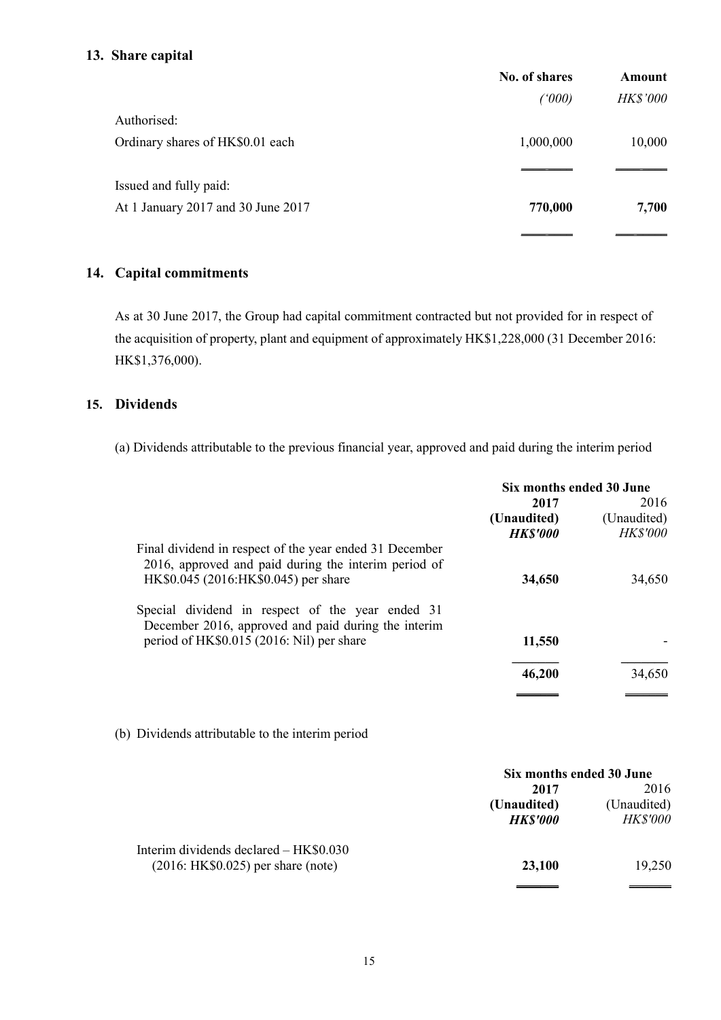### **13. Share capital**

|                                    | No. of shares | Amount   |
|------------------------------------|---------------|----------|
|                                    | (1000)        | HK\$'000 |
| Authorised:                        |               |          |
| Ordinary shares of HK\$0.01 each   | 1,000,000     | 10,000   |
| Issued and fully paid:             |               |          |
| At 1 January 2017 and 30 June 2017 | 770,000       | 7,700    |
|                                    |               |          |

# **14. Capital commitments**

As at 30 June 2017, the Group had capital commitment contracted but not provided for in respect of the acquisition of property, plant and equipment of approximately HK\$1,228,000 (31 December 2016: HK\$1,376,000).

# **15. Dividends**

(a) Dividends attributable to the previous financial year, approved and paid during the interim period

|                                                         | Six months ended 30 June |                 |
|---------------------------------------------------------|--------------------------|-----------------|
|                                                         | 2017                     | 2016            |
|                                                         | (Unaudited)              | (Unaudited)     |
|                                                         | <b>HK\$'000</b>          | <b>HK\$'000</b> |
| Final dividend in respect of the year ended 31 December |                          |                 |
| 2016, approved and paid during the interim period of    |                          |                 |
| HK\$0.045 (2016:HK\$0.045) per share                    | 34,650                   | 34,650          |
| Special dividend in respect of the year ended 31        |                          |                 |
| December 2016, approved and paid during the interim     |                          |                 |
| period of HK\$0.015 (2016: Nil) per share               | 11,550                   |                 |
|                                                         | 46,200                   | 34,650          |
|                                                         |                          |                 |

(b) Dividends attributable to the interim period

|                                        | Six months ended 30 June |                 |
|----------------------------------------|--------------------------|-----------------|
|                                        | 2017                     | 2016            |
|                                        | (Unaudited)              | (Unaudited)     |
|                                        | <b>HK\$'000</b>          | <i>HK\$'000</i> |
| Interim dividends declared – HK\$0.030 |                          |                 |
| $(2016: HK$0.025)$ per share (note)    | 23,100                   | 19,250          |
|                                        |                          |                 |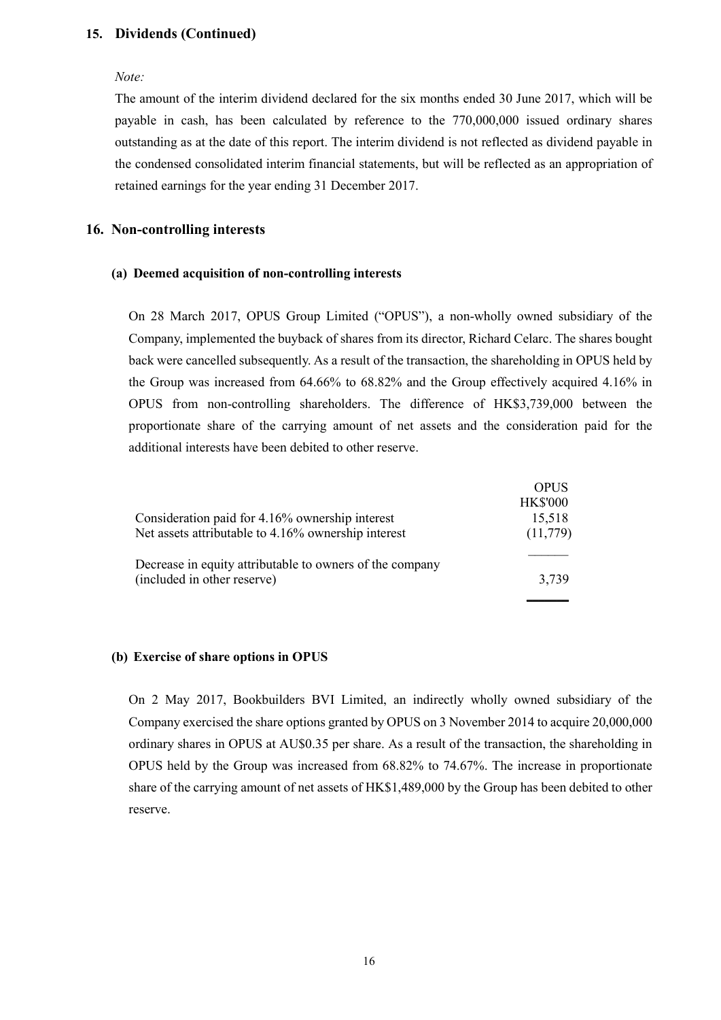#### **15. Dividends (Continued)**

#### *Note:*

The amount of the interim dividend declared for the six months ended 30 June 2017, which will be payable in cash, has been calculated by reference to the 770,000,000 issued ordinary shares outstanding as at the date of this report. The interim dividend is not reflected as dividend payable in the condensed consolidated interim financial statements, but will be reflected as an appropriation of retained earnings for the year ending 31 December 2017.

#### **16. Non-controlling interests**

#### **(a) Deemed acquisition of non-controlling interests**

On 28 March 2017, OPUS Group Limited ("OPUS"), a non-wholly owned subsidiary of the Company, implemented the buyback of shares from its director, Richard Celarc. The shares bought back were cancelled subsequently. As a result of the transaction, the shareholding in OPUS held by the Group was increased from 64.66% to 68.82% and the Group effectively acquired 4.16% in OPUS from non-controlling shareholders. The difference of HK\$3,739,000 between the proportionate share of the carrying amount of net assets and the consideration paid for the additional interests have been debited to other reserve.

|                                                          | <b>OPUS</b>     |
|----------------------------------------------------------|-----------------|
|                                                          | <b>HK\$'000</b> |
| Consideration paid for 4.16% ownership interest          | 15,518          |
| Net assets attributable to 4.16% ownership interest      | (11,779)        |
| Decrease in equity attributable to owners of the company |                 |
| (included in other reserve)                              | 3,739           |
|                                                          |                 |

#### **(b) Exercise of share options in OPUS**

On 2 May 2017, Bookbuilders BVI Limited, an indirectly wholly owned subsidiary of the Company exercised the share options granted by OPUS on 3 November 2014 to acquire 20,000,000 ordinary shares in OPUS at AU\$0.35 per share. As a result of the transaction, the shareholding in OPUS held by the Group was increased from 68.82% to 74.67%. The increase in proportionate share of the carrying amount of net assets of HK\$1,489,000 by the Group has been debited to other reserve.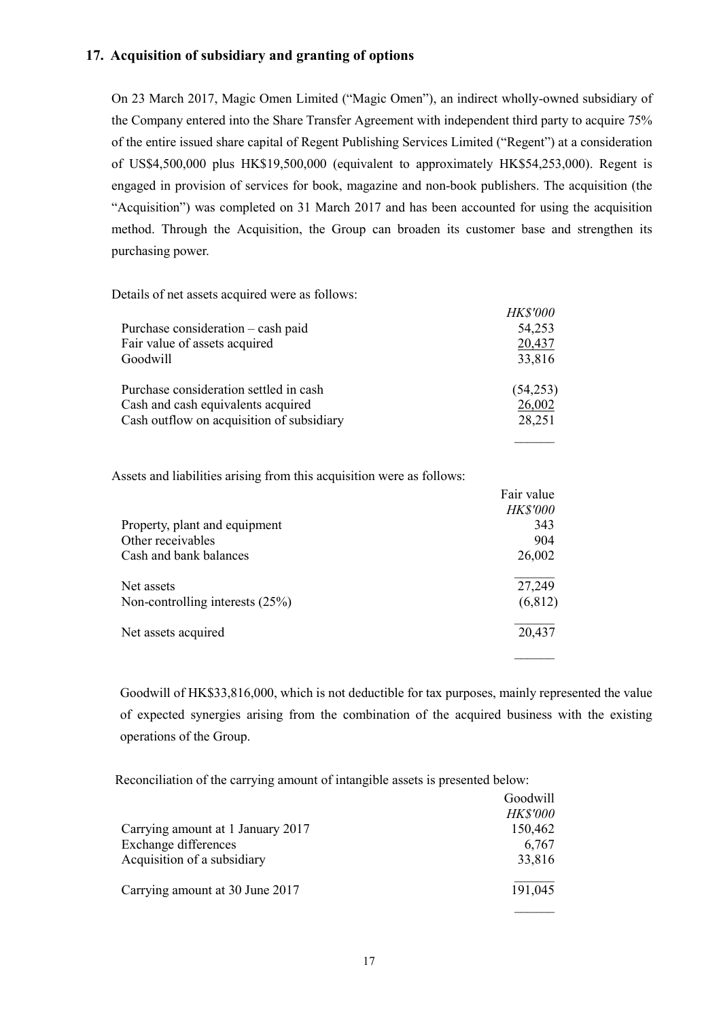### **17. Acquisition of subsidiary and granting of options**

On 23 March 2017, Magic Omen Limited ("Magic Omen"), an indirect wholly-owned subsidiary of the Company entered into the Share Transfer Agreement with independent third party to acquire 75% of the entire issued share capital of Regent Publishing Services Limited ("Regent") at a consideration of US\$4,500,000 plus HK\$19,500,000 (equivalent to approximately HK\$54,253,000). Regent is engaged in provision of services for book, magazine and non-book publishers. The acquisition (the "Acquisition") was completed on 31 March 2017 and has been accounted for using the acquisition method. Through the Acquisition, the Group can broaden its customer base and strengthen its purchasing power.

Details of net assets acquired were as follows:

|                                           | <b>HK\$'000</b> |
|-------------------------------------------|-----------------|
| Purchase consideration – cash paid        | 54,253          |
| Fair value of assets acquired             | 20,437          |
| Goodwill                                  | 33,816          |
| Purchase consideration settled in cash    | (54,253)        |
| Cash and cash equivalents acquired        | 26,002          |
| Cash outflow on acquisition of subsidiary | 28,251          |
|                                           |                 |

Assets and liabilities arising from this acquisition were as follows:

|                                   | Fair value      |
|-----------------------------------|-----------------|
|                                   | <b>HK\$'000</b> |
| Property, plant and equipment     | 343             |
| Other receivables                 | 904             |
| Cash and bank balances            | 26,002          |
| Net assets                        | 27,249          |
| Non-controlling interests $(25%)$ | (6, 812)        |
| Net assets acquired               | 20,437          |
|                                   |                 |

Goodwill of HK\$33,816,000, which is not deductible for tax purposes, mainly represented the value of expected synergies arising from the combination of the acquired business with the existing operations of the Group.

Reconciliation of the carrying amount of intangible assets is presented below:

|                                   | Goodwill        |
|-----------------------------------|-----------------|
|                                   | <b>HK\$'000</b> |
| Carrying amount at 1 January 2017 | 150,462         |
| Exchange differences              | 6,767           |
| Acquisition of a subsidiary       | 33,816          |
| Carrying amount at 30 June 2017   | 191,045         |
|                                   |                 |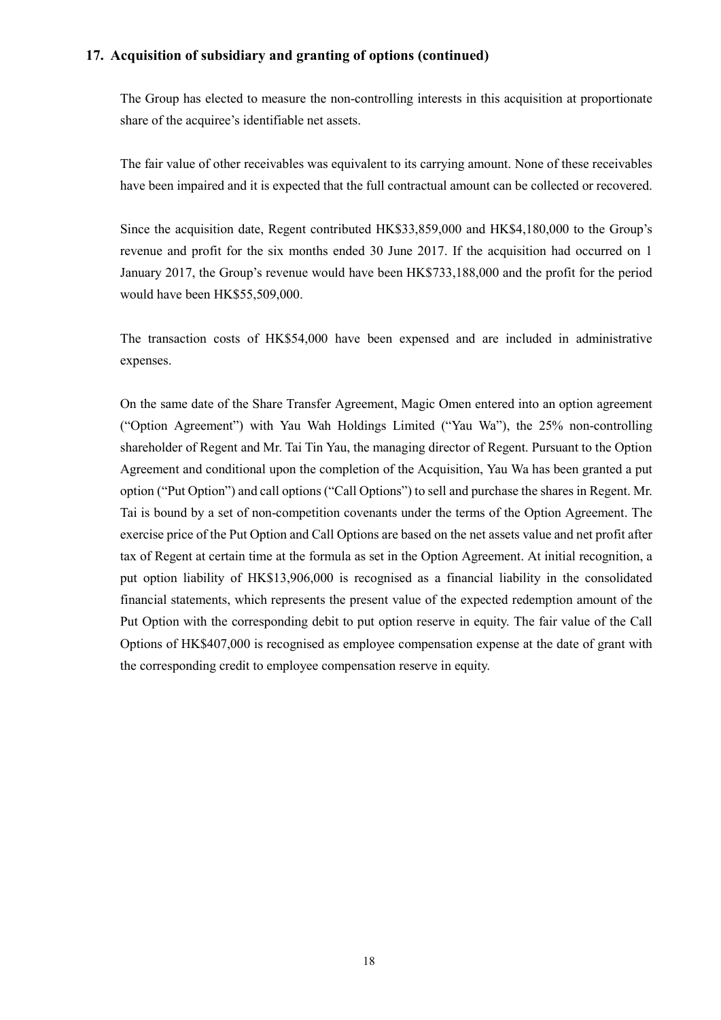#### **17. Acquisition of subsidiary and granting of options (continued)**

The Group has elected to measure the non-controlling interests in this acquisition at proportionate share of the acquiree's identifiable net assets.

The fair value of other receivables was equivalent to its carrying amount. None of these receivables have been impaired and it is expected that the full contractual amount can be collected or recovered.

Since the acquisition date, Regent contributed HK\$33,859,000 and HK\$4,180,000 to the Group's revenue and profit for the six months ended 30 June 2017. If the acquisition had occurred on 1 January 2017, the Group's revenue would have been HK\$733,188,000 and the profit for the period would have been HK\$55,509,000.

The transaction costs of HK\$54,000 have been expensed and are included in administrative expenses.

On the same date of the Share Transfer Agreement, Magic Omen entered into an option agreement ("Option Agreement") with Yau Wah Holdings Limited ("Yau Wa"), the 25% non-controlling shareholder of Regent and Mr. Tai Tin Yau, the managing director of Regent. Pursuant to the Option Agreement and conditional upon the completion of the Acquisition, Yau Wa has been granted a put option ("Put Option") and call options ("Call Options") to sell and purchase the shares in Regent. Mr. Tai is bound by a set of non-competition covenants under the terms of the Option Agreement. The exercise price of the Put Option and Call Options are based on the net assets value and net profit after tax of Regent at certain time at the formula as set in the Option Agreement. At initial recognition, a put option liability of HK\$13,906,000 is recognised as a financial liability in the consolidated financial statements, which represents the present value of the expected redemption amount of the Put Option with the corresponding debit to put option reserve in equity. The fair value of the Call Options of HK\$407,000 is recognised as employee compensation expense at the date of grant with the corresponding credit to employee compensation reserve in equity.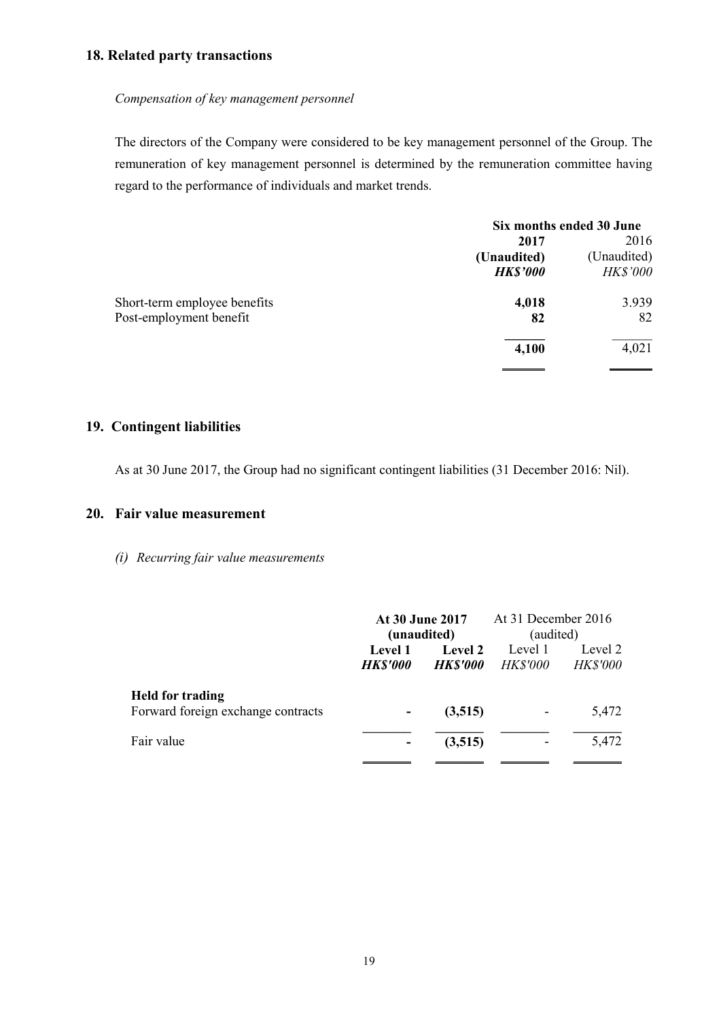### **18. Related party transactions**

#### *Compensation of key management personnel*

The directors of the Company were considered to be key management personnel of the Group. The remuneration of key management personnel is determined by the remuneration committee having regard to the performance of individuals and market trends.

|                              | Six months ended 30 June |                 |  |
|------------------------------|--------------------------|-----------------|--|
|                              | 2017                     | 2016            |  |
|                              | (Unaudited)              | (Unaudited)     |  |
|                              | <b>HK\$'000</b>          | <b>HK\$'000</b> |  |
| Short-term employee benefits | 4,018                    | 3.939           |  |
| Post-employment benefit      | 82                       | 82              |  |
|                              | 4,100                    | 4,021           |  |
|                              |                          |                 |  |

# **19. Contingent liabilities**

As at 30 June 2017, the Group had no significant contingent liabilities (31 December 2016: Nil).

### **20. Fair value measurement**

*(i) Recurring fair value measurements* 

|                                    | At 30 June 2017<br>(unaudited) |                 | At 31 December 2016<br>(audited) |                 |
|------------------------------------|--------------------------------|-----------------|----------------------------------|-----------------|
|                                    |                                |                 |                                  |                 |
|                                    | Level 1                        | <b>Level 2</b>  | Level 1                          | Level 2         |
|                                    | <b>HK\$'000</b>                | <b>HK\$'000</b> | <b>HK\$'000</b>                  | <b>HK\$'000</b> |
| <b>Held for trading</b>            |                                |                 |                                  |                 |
| Forward foreign exchange contracts |                                | (3,515)         |                                  | 5,472           |
| Fair value                         |                                | (3,515)         |                                  | 5,472           |
|                                    |                                |                 |                                  |                 |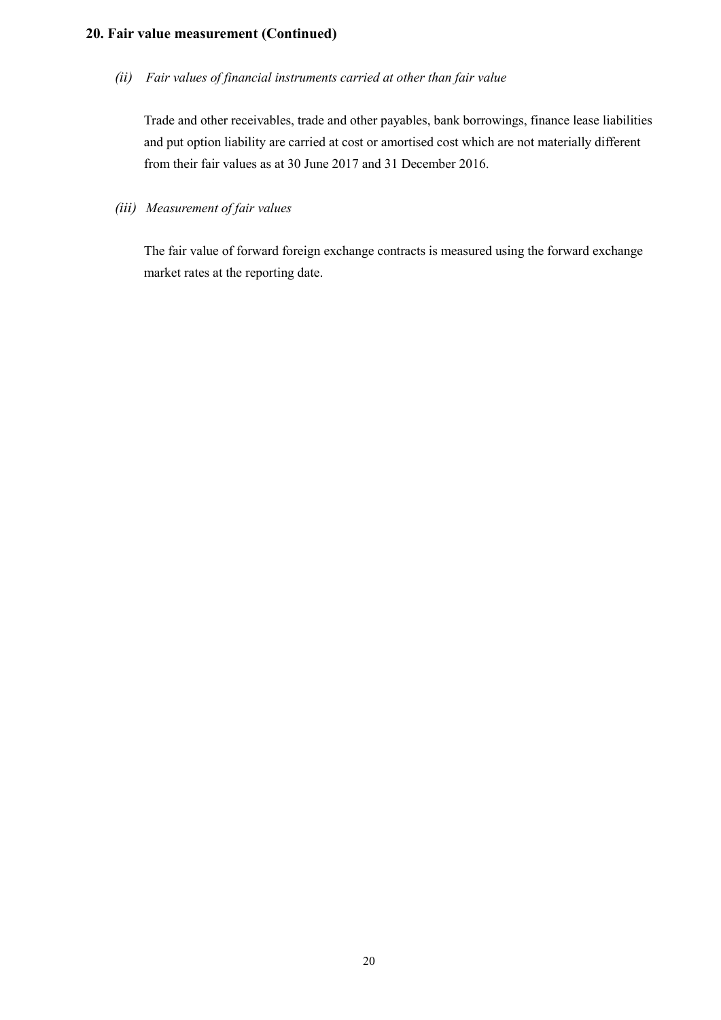## **20. Fair value measurement (Continued)**

*(ii) Fair values of financial instruments carried at other than fair value* 

Trade and other receivables, trade and other payables, bank borrowings, finance lease liabilities and put option liability are carried at cost or amortised cost which are not materially different from their fair values as at 30 June 2017 and 31 December 2016.

*(iii) Measurement of fair values* 

The fair value of forward foreign exchange contracts is measured using the forward exchange market rates at the reporting date.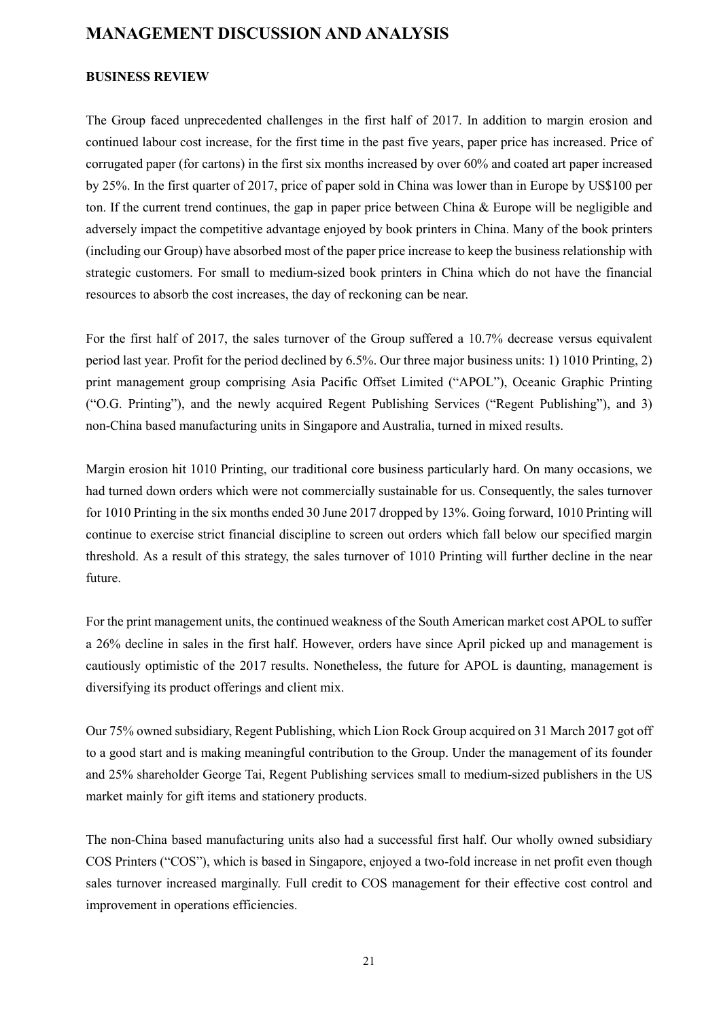# **MANAGEMENT DISCUSSION AND ANALYSIS**

### **BUSINESS REVIEW**

The Group faced unprecedented challenges in the first half of 2017. In addition to margin erosion and continued labour cost increase, for the first time in the past five years, paper price has increased. Price of corrugated paper (for cartons) in the first six months increased by over 60% and coated art paper increased by 25%. In the first quarter of 2017, price of paper sold in China was lower than in Europe by US\$100 per ton. If the current trend continues, the gap in paper price between China & Europe will be negligible and adversely impact the competitive advantage enjoyed by book printers in China. Many of the book printers (including our Group) have absorbed most of the paper price increase to keep the business relationship with strategic customers. For small to medium-sized book printers in China which do not have the financial resources to absorb the cost increases, the day of reckoning can be near.

For the first half of 2017, the sales turnover of the Group suffered a 10.7% decrease versus equivalent period last year. Profit for the period declined by 6.5%. Our three major business units: 1) 1010 Printing, 2) print management group comprising Asia Pacific Offset Limited ("APOL"), Oceanic Graphic Printing ("O.G. Printing"), and the newly acquired Regent Publishing Services ("Regent Publishing"), and 3) non-China based manufacturing units in Singapore and Australia, turned in mixed results.

Margin erosion hit 1010 Printing, our traditional core business particularly hard. On many occasions, we had turned down orders which were not commercially sustainable for us. Consequently, the sales turnover for 1010 Printing in the six months ended 30 June 2017 dropped by 13%. Going forward, 1010 Printing will continue to exercise strict financial discipline to screen out orders which fall below our specified margin threshold. As a result of this strategy, the sales turnover of 1010 Printing will further decline in the near future.

For the print management units, the continued weakness of the South American market cost APOL to suffer a 26% decline in sales in the first half. However, orders have since April picked up and management is cautiously optimistic of the 2017 results. Nonetheless, the future for APOL is daunting, management is diversifying its product offerings and client mix.

Our 75% owned subsidiary, Regent Publishing, which Lion Rock Group acquired on 31 March 2017 got off to a good start and is making meaningful contribution to the Group. Under the management of its founder and 25% shareholder George Tai, Regent Publishing services small to medium-sized publishers in the US market mainly for gift items and stationery products.

The non-China based manufacturing units also had a successful first half. Our wholly owned subsidiary COS Printers ("COS"), which is based in Singapore, enjoyed a two-fold increase in net profit even though sales turnover increased marginally. Full credit to COS management for their effective cost control and improvement in operations efficiencies.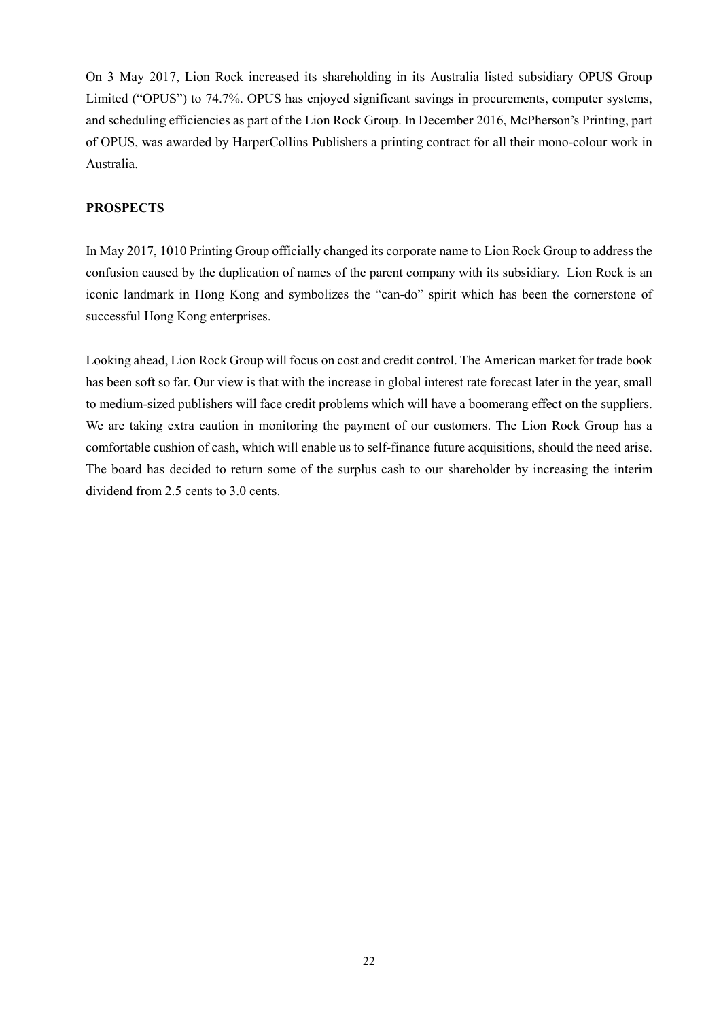On 3 May 2017, Lion Rock increased its shareholding in its Australia listed subsidiary OPUS Group Limited ("OPUS") to 74.7%. OPUS has enjoyed significant savings in procurements, computer systems, and scheduling efficiencies as part of the Lion Rock Group. In December 2016, McPherson's Printing, part of OPUS, was awarded by HarperCollins Publishers a printing contract for all their mono-colour work in Australia.

#### **PROSPECTS**

In May 2017, 1010 Printing Group officially changed its corporate name to Lion Rock Group to address the confusion caused by the duplication of names of the parent company with its subsidiary. Lion Rock is an iconic landmark in Hong Kong and symbolizes the "can-do" spirit which has been the cornerstone of successful Hong Kong enterprises.

Looking ahead, Lion Rock Group will focus on cost and credit control. The American market for trade book has been soft so far. Our view is that with the increase in global interest rate forecast later in the year, small to medium-sized publishers will face credit problems which will have a boomerang effect on the suppliers. We are taking extra caution in monitoring the payment of our customers. The Lion Rock Group has a comfortable cushion of cash, which will enable us to self-finance future acquisitions, should the need arise. The board has decided to return some of the surplus cash to our shareholder by increasing the interim dividend from 2.5 cents to 3.0 cents.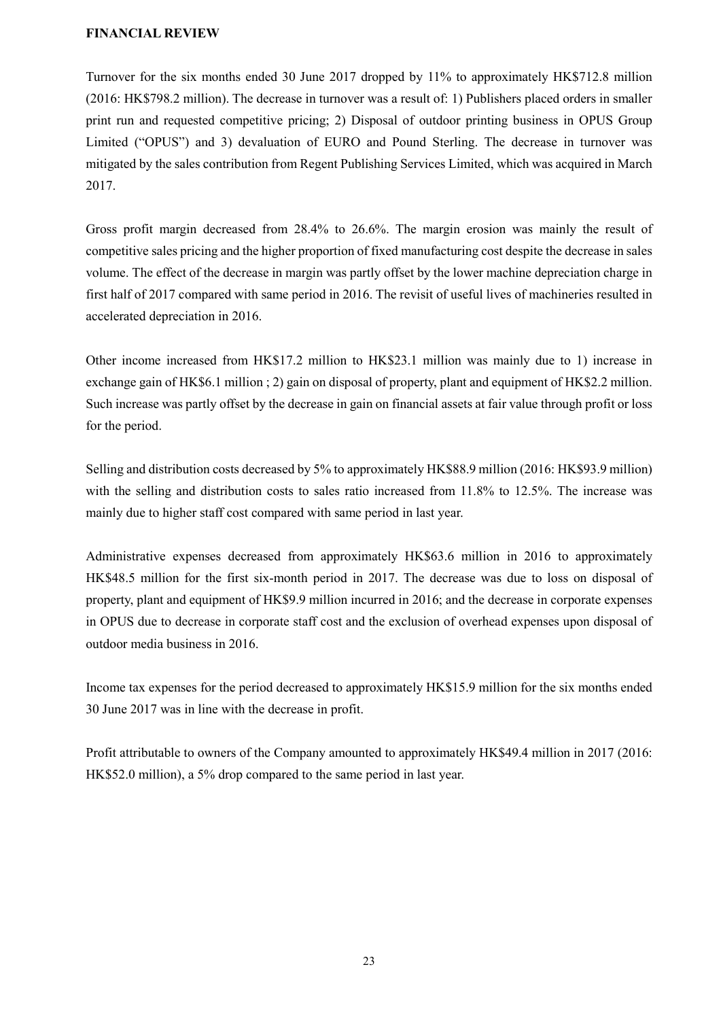#### **FINANCIAL REVIEW**

Turnover for the six months ended 30 June 2017 dropped by 11% to approximately HK\$712.8 million (2016: HK\$798.2 million). The decrease in turnover was a result of: 1) Publishers placed orders in smaller print run and requested competitive pricing; 2) Disposal of outdoor printing business in OPUS Group Limited ("OPUS") and 3) devaluation of EURO and Pound Sterling. The decrease in turnover was mitigated by the sales contribution from Regent Publishing Services Limited, which was acquired in March 2017.

Gross profit margin decreased from 28.4% to 26.6%. The margin erosion was mainly the result of competitive sales pricing and the higher proportion of fixed manufacturing cost despite the decrease in sales volume. The effect of the decrease in margin was partly offset by the lower machine depreciation charge in first half of 2017 compared with same period in 2016. The revisit of useful lives of machineries resulted in accelerated depreciation in 2016.

Other income increased from HK\$17.2 million to HK\$23.1 million was mainly due to 1) increase in exchange gain of HK\$6.1 million ; 2) gain on disposal of property, plant and equipment of HK\$2.2 million. Such increase was partly offset by the decrease in gain on financial assets at fair value through profit or loss for the period.

Selling and distribution costs decreased by 5% to approximately HK\$88.9 million (2016: HK\$93.9 million) with the selling and distribution costs to sales ratio increased from 11.8% to 12.5%. The increase was mainly due to higher staff cost compared with same period in last year.

Administrative expenses decreased from approximately HK\$63.6 million in 2016 to approximately HK\$48.5 million for the first six-month period in 2017. The decrease was due to loss on disposal of property, plant and equipment of HK\$9.9 million incurred in 2016; and the decrease in corporate expenses in OPUS due to decrease in corporate staff cost and the exclusion of overhead expenses upon disposal of outdoor media business in 2016.

Income tax expenses for the period decreased to approximately HK\$15.9 million for the six months ended 30 June 2017 was in line with the decrease in profit.

Profit attributable to owners of the Company amounted to approximately HK\$49.4 million in 2017 (2016: HK\$52.0 million), a 5% drop compared to the same period in last year.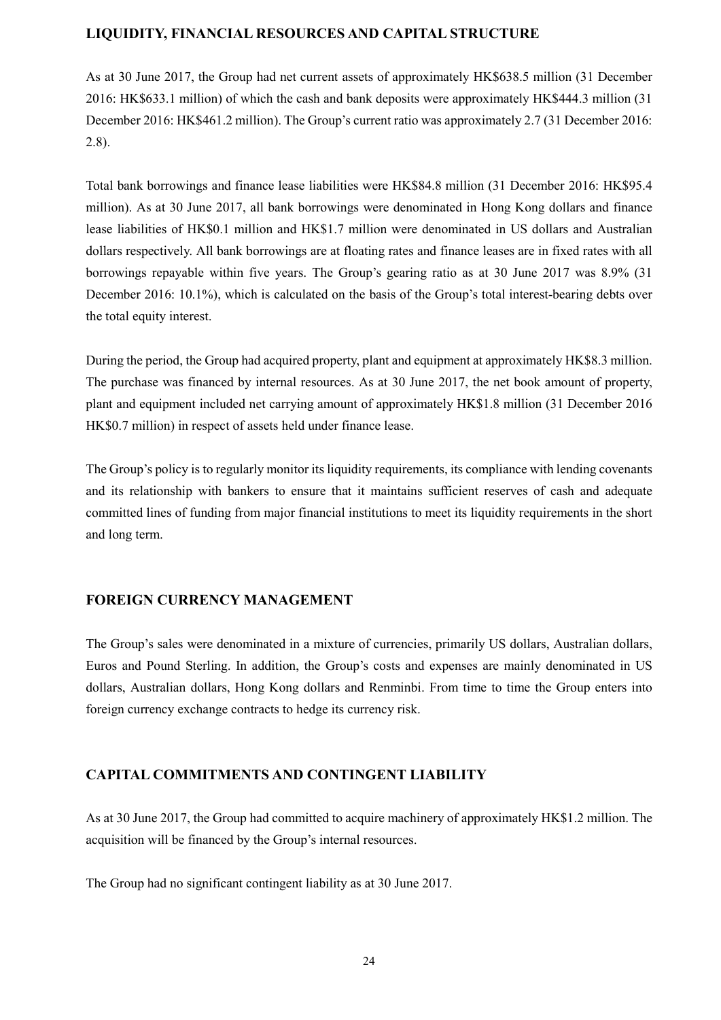## **LIQUIDITY, FINANCIAL RESOURCES AND CAPITAL STRUCTURE**

As at 30 June 2017, the Group had net current assets of approximately HK\$638.5 million (31 December 2016: HK\$633.1 million) of which the cash and bank deposits were approximately HK\$444.3 million (31 December 2016: HK\$461.2 million). The Group's current ratio was approximately 2.7 (31 December 2016: 2.8).

Total bank borrowings and finance lease liabilities were HK\$84.8 million (31 December 2016: HK\$95.4 million). As at 30 June 2017, all bank borrowings were denominated in Hong Kong dollars and finance lease liabilities of HK\$0.1 million and HK\$1.7 million were denominated in US dollars and Australian dollars respectively. All bank borrowings are at floating rates and finance leases are in fixed rates with all borrowings repayable within five years. The Group's gearing ratio as at 30 June 2017 was 8.9% (31 December 2016: 10.1%), which is calculated on the basis of the Group's total interest-bearing debts over the total equity interest.

During the period, the Group had acquired property, plant and equipment at approximately HK\$8.3 million. The purchase was financed by internal resources. As at 30 June 2017, the net book amount of property, plant and equipment included net carrying amount of approximately HK\$1.8 million (31 December 2016 HK\$0.7 million) in respect of assets held under finance lease.

The Group's policy is to regularly monitor its liquidity requirements, its compliance with lending covenants and its relationship with bankers to ensure that it maintains sufficient reserves of cash and adequate committed lines of funding from major financial institutions to meet its liquidity requirements in the short and long term.

### **FOREIGN CURRENCY MANAGEMENT**

The Group's sales were denominated in a mixture of currencies, primarily US dollars, Australian dollars, Euros and Pound Sterling. In addition, the Group's costs and expenses are mainly denominated in US dollars, Australian dollars, Hong Kong dollars and Renminbi. From time to time the Group enters into foreign currency exchange contracts to hedge its currency risk.

# **CAPITAL COMMITMENTS AND CONTINGENT LIABILITY**

As at 30 June 2017, the Group had committed to acquire machinery of approximately HK\$1.2 million. The acquisition will be financed by the Group's internal resources.

The Group had no significant contingent liability as at 30 June 2017.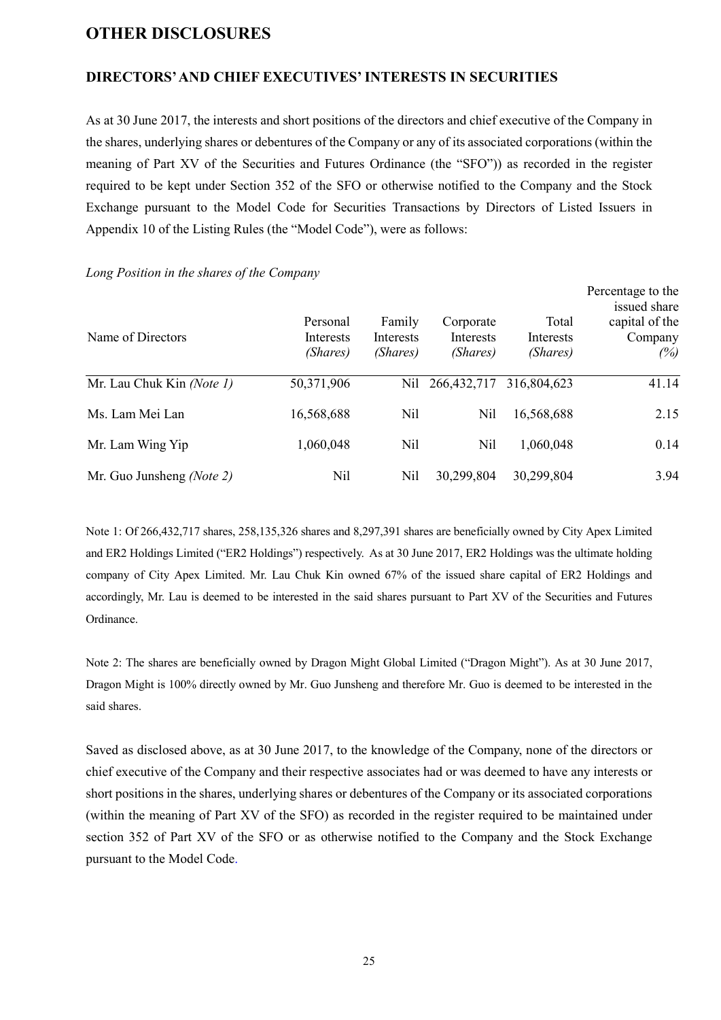# **OTHER DISCLOSURES**

## **DIRECTORS' AND CHIEF EXECUTIVES' INTERESTS IN SECURITIES**

As at 30 June 2017, the interests and short positions of the directors and chief executive of the Company in the shares, underlying shares or debentures of the Company or any of its associated corporations (within the meaning of Part XV of the Securities and Futures Ordinance (the "SFO")) as recorded in the register required to be kept under Section 352 of the SFO or otherwise notified to the Company and the Stock Exchange pursuant to the Model Code for Securities Transactions by Directors of Listed Issuers in Appendix 10 of the Listing Rules (the "Model Code"), were as follows:

| Name of Directors         | Personal<br>Interests<br>(Shares) | Family<br>Interests<br>(Shares) | Corporate<br><b>Interests</b><br>(Shares) | Total<br>Interests<br>(Shares) | Percentage to the<br>issued share<br>capital of the<br>Company<br>(%) |
|---------------------------|-----------------------------------|---------------------------------|-------------------------------------------|--------------------------------|-----------------------------------------------------------------------|
| Mr. Lau Chuk Kin (Note 1) | 50,371,906                        | Nil                             | 266, 432, 717                             | 316,804,623                    | 41.14                                                                 |
| Ms. Lam Mei Lan           | 16,568,688                        | Nil                             | Nil                                       | 16,568,688                     | 2.15                                                                  |
| Mr. Lam Wing Yip          | 1,060,048                         | Nil                             | Nil                                       | 1,060,048                      | 0.14                                                                  |
| Mr. Guo Junsheng (Note 2) | Nil                               | Nil                             | 30,299,804                                | 30,299,804                     | 3.94                                                                  |

## *Long Position in the shares of the Company*

Note 1: Of 266,432,717 shares, 258,135,326 shares and 8,297,391 shares are beneficially owned by City Apex Limited and ER2 Holdings Limited ("ER2 Holdings") respectively. As at 30 June 2017, ER2 Holdings was the ultimate holding company of City Apex Limited. Mr. Lau Chuk Kin owned 67% of the issued share capital of ER2 Holdings and accordingly, Mr. Lau is deemed to be interested in the said shares pursuant to Part XV of the Securities and Futures Ordinance.

Note 2: The shares are beneficially owned by Dragon Might Global Limited ("Dragon Might"). As at 30 June 2017, Dragon Might is 100% directly owned by Mr. Guo Junsheng and therefore Mr. Guo is deemed to be interested in the said shares.

Saved as disclosed above, as at 30 June 2017, to the knowledge of the Company, none of the directors or chief executive of the Company and their respective associates had or was deemed to have any interests or short positions in the shares, underlying shares or debentures of the Company or its associated corporations (within the meaning of Part XV of the SFO) as recorded in the register required to be maintained under section 352 of Part XV of the SFO or as otherwise notified to the Company and the Stock Exchange pursuant to the Model Code.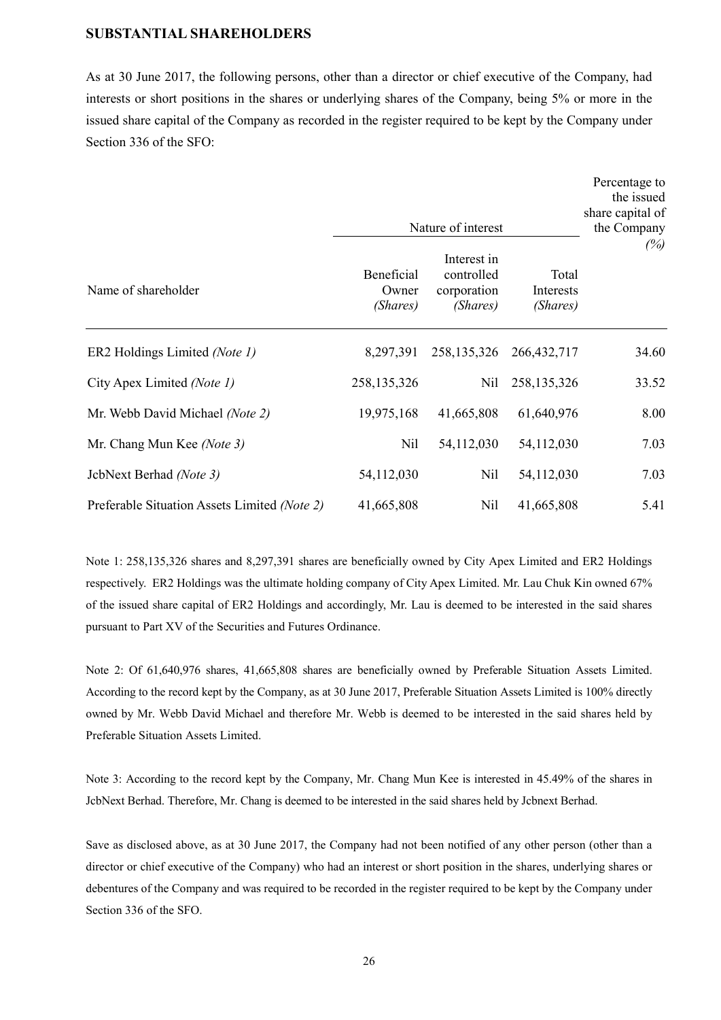#### **SUBSTANTIAL SHAREHOLDERS**

As at 30 June 2017, the following persons, other than a director or chief executive of the Company, had interests or short positions in the shares or underlying shares of the Company, being 5% or more in the issued share capital of the Company as recorded in the register required to be kept by the Company under Section 336 of the SFO:

|                                              | Nature of interest              |                                                      |                                | Percentage to<br>the issued<br>share capital of<br>the Company |
|----------------------------------------------|---------------------------------|------------------------------------------------------|--------------------------------|----------------------------------------------------------------|
| Name of shareholder                          | Beneficial<br>Owner<br>(Shares) | Interest in<br>controlled<br>corporation<br>(Shares) | Total<br>Interests<br>(Shares) | (%)                                                            |
| ER2 Holdings Limited (Note 1)                | 8,297,391                       | 258, 135, 326                                        | 266, 432, 717                  | 34.60                                                          |
| City Apex Limited (Note 1)                   | 258,135,326                     | Nil                                                  | 258, 135, 326                  | 33.52                                                          |
| Mr. Webb David Michael (Note 2)              | 19,975,168                      | 41,665,808                                           | 61,640,976                     | 8.00                                                           |
| Mr. Chang Mun Kee (Note 3)                   | Nil                             | 54,112,030                                           | 54,112,030                     | 7.03                                                           |
| JcbNext Berhad (Note 3)                      | 54,112,030                      | Nil                                                  | 54,112,030                     | 7.03                                                           |
| Preferable Situation Assets Limited (Note 2) | 41,665,808                      | Nil                                                  | 41,665,808                     | 5.41                                                           |

Note 1: 258,135,326 shares and 8,297,391 shares are beneficially owned by City Apex Limited and ER2 Holdings respectively. ER2 Holdings was the ultimate holding company of City Apex Limited. Mr. Lau Chuk Kin owned 67% of the issued share capital of ER2 Holdings and accordingly, Mr. Lau is deemed to be interested in the said shares pursuant to Part XV of the Securities and Futures Ordinance.

Note 2: Of 61,640,976 shares, 41,665,808 shares are beneficially owned by Preferable Situation Assets Limited. According to the record kept by the Company, as at 30 June 2017, Preferable Situation Assets Limited is 100% directly owned by Mr. Webb David Michael and therefore Mr. Webb is deemed to be interested in the said shares held by Preferable Situation Assets Limited.

Note 3: According to the record kept by the Company, Mr. Chang Mun Kee is interested in 45.49% of the shares in JcbNext Berhad. Therefore, Mr. Chang is deemed to be interested in the said shares held by Jcbnext Berhad.

Save as disclosed above, as at 30 June 2017, the Company had not been notified of any other person (other than a director or chief executive of the Company) who had an interest or short position in the shares, underlying shares or debentures of the Company and was required to be recorded in the register required to be kept by the Company under Section 336 of the SFO.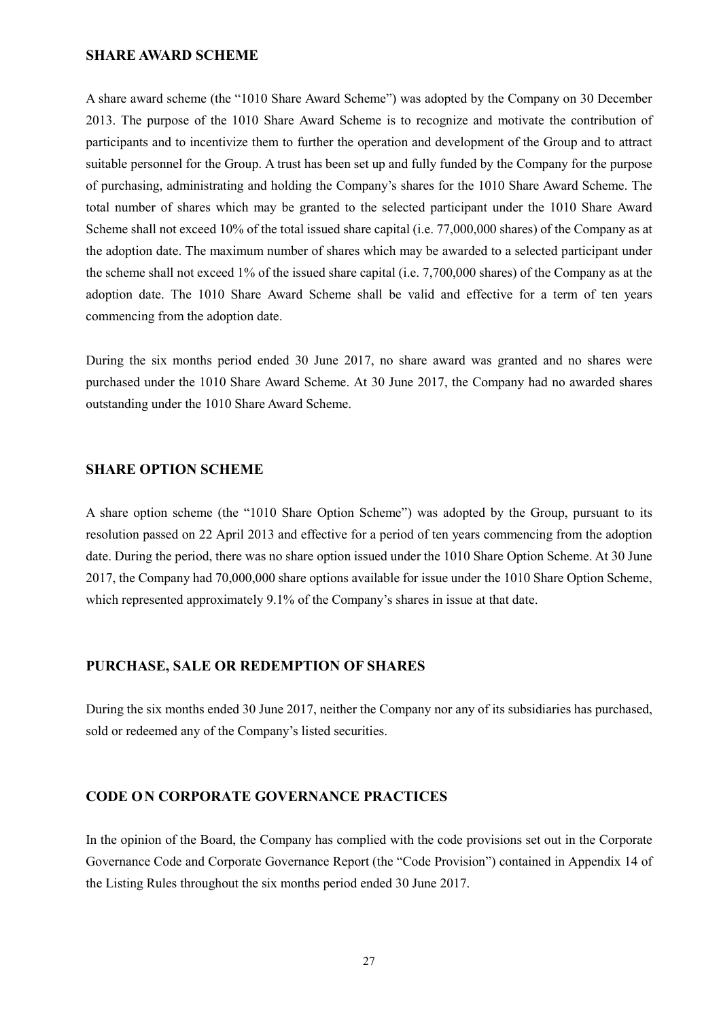#### **SHARE AWARD SCHEME**

A share award scheme (the "1010 Share Award Scheme") was adopted by the Company on 30 December 2013. The purpose of the 1010 Share Award Scheme is to recognize and motivate the contribution of participants and to incentivize them to further the operation and development of the Group and to attract suitable personnel for the Group. A trust has been set up and fully funded by the Company for the purpose of purchasing, administrating and holding the Company's shares for the 1010 Share Award Scheme. The total number of shares which may be granted to the selected participant under the 1010 Share Award Scheme shall not exceed 10% of the total issued share capital (i.e. 77,000,000 shares) of the Company as at the adoption date. The maximum number of shares which may be awarded to a selected participant under the scheme shall not exceed 1% of the issued share capital (i.e. 7,700,000 shares) of the Company as at the adoption date. The 1010 Share Award Scheme shall be valid and effective for a term of ten years commencing from the adoption date.

During the six months period ended 30 June 2017, no share award was granted and no shares were purchased under the 1010 Share Award Scheme. At 30 June 2017, the Company had no awarded shares outstanding under the 1010 Share Award Scheme.

#### **SHARE OPTION SCHEME**

A share option scheme (the "1010 Share Option Scheme") was adopted by the Group, pursuant to its resolution passed on 22 April 2013 and effective for a period of ten years commencing from the adoption date. During the period, there was no share option issued under the 1010 Share Option Scheme. At 30 June 2017, the Company had 70,000,000 share options available for issue under the 1010 Share Option Scheme, which represented approximately 9.1% of the Company's shares in issue at that date.

#### **PURCHASE, SALE OR REDEMPTION OF SHARES**

During the six months ended 30 June 2017, neither the Company nor any of its subsidiaries has purchased, sold or redeemed any of the Company's listed securities.

#### **CODE O N CORPORATE GOVERNANCE PRACTICES**

In the opinion of the Board, the Company has complied with the code provisions set out in the Corporate Governance Code and Corporate Governance Report (the "Code Provision") contained in Appendix 14 of the Listing Rules throughout the six months period ended 30 June 2017.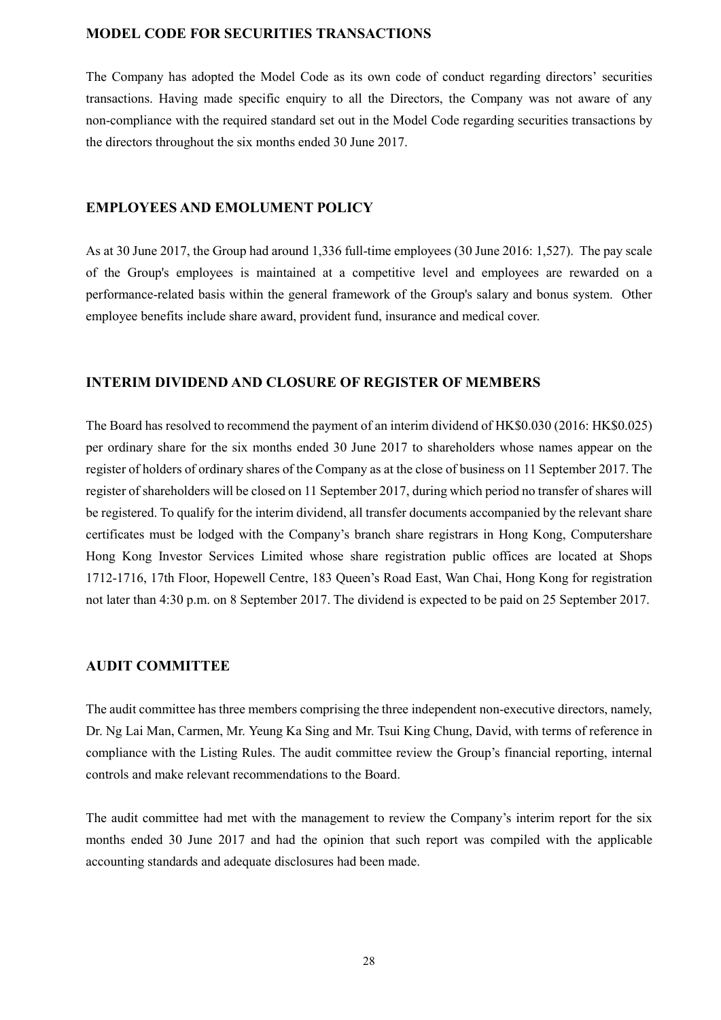# **MODEL CODE FOR SECURITIES TRANSACTIONS**

The Company has adopted the Model Code as its own code of conduct regarding directors' securities transactions. Having made specific enquiry to all the Directors, the Company was not aware of any non-compliance with the required standard set out in the Model Code regarding securities transactions by the directors throughout the six months ended 30 June 2017.

#### **EMPLOYEES AND EMOLUMENT POLICY**

As at 30 June 2017, the Group had around 1,336 full-time employees (30 June 2016: 1,527). The pay scale of the Group's employees is maintained at a competitive level and employees are rewarded on a performance-related basis within the general framework of the Group's salary and bonus system. Other employee benefits include share award, provident fund, insurance and medical cover.

#### **INTERIM DIVIDEND AND CLOSURE OF REGISTER OF MEMBERS**

The Board has resolved to recommend the payment of an interim dividend of HK\$0.030 (2016: HK\$0.025) per ordinary share for the six months ended 30 June 2017 to shareholders whose names appear on the register of holders of ordinary shares of the Company as at the close of business on 11 September 2017. The register of shareholders will be closed on 11 September 2017, during which period no transfer of shares will be registered. To qualify for the interim dividend, all transfer documents accompanied by the relevant share certificates must be lodged with the Company's branch share registrars in Hong Kong, Computershare Hong Kong Investor Services Limited whose share registration public offices are located at Shops 1712-1716, 17th Floor, Hopewell Centre, 183 Queen's Road East, Wan Chai, Hong Kong for registration not later than 4:30 p.m. on 8 September 2017. The dividend is expected to be paid on 25 September 2017.

#### **AUDIT COMMITTEE**

The audit committee has three members comprising the three independent non-executive directors, namely, Dr. Ng Lai Man, Carmen, Mr. Yeung Ka Sing and Mr. Tsui King Chung, David, with terms of reference in compliance with the Listing Rules. The audit committee review the Group's financial reporting, internal controls and make relevant recommendations to the Board.

The audit committee had met with the management to review the Company's interim report for the six months ended 30 June 2017 and had the opinion that such report was compiled with the applicable accounting standards and adequate disclosures had been made.